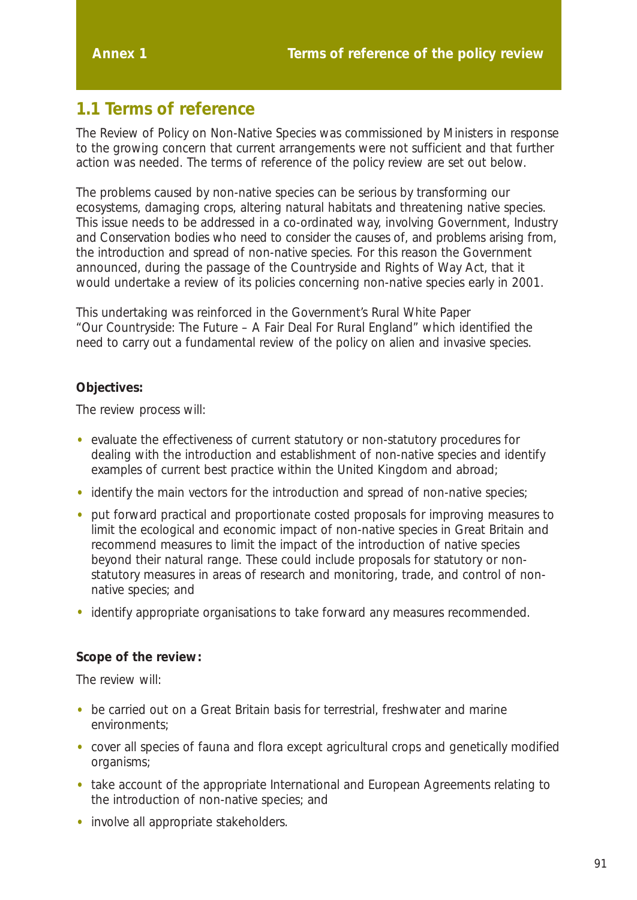# **1.1 Terms of reference**

The Review of Policy on Non-Native Species was commissioned by Ministers in response to the growing concern that current arrangements were not sufficient and that further action was needed. The terms of reference of the policy review are set out below.

The problems caused by non-native species can be serious by transforming our ecosystems, damaging crops, altering natural habitats and threatening native species. This issue needs to be addressed in a co-ordinated way, involving Government, Industry and Conservation bodies who need to consider the causes of, and problems arising from, the introduction and spread of non-native species. For this reason the Government announced, during the passage of the Countryside and Rights of Way Act, that it would undertake a review of its policies concerning non-native species early in 2001.

This undertaking was reinforced in the Government's Rural White Paper *"Our Countryside: The Future – A Fair Deal For Rural England"* which identified the need to carry out a fundamental review of the policy on alien and invasive species.

#### **Objectives:**

The review process will:

- evaluate the effectiveness of current statutory or non-statutory procedures for dealing with the introduction and establishment of non-native species and identify examples of current best practice within the United Kingdom and abroad;
- identify the main vectors for the introduction and spread of non-native species;
- put forward practical and proportionate costed proposals for improving measures to limit the ecological and economic impact of non-native species in Great Britain and recommend measures to limit the impact of the introduction of native species beyond their natural range. These could include proposals for statutory or nonstatutory measures in areas of research and monitoring, trade, and control of nonnative species; and
- identify appropriate organisations to take forward any measures recommended.

#### **Scope of the review:**

The review will:

- be carried out on a Great Britain basis for terrestrial, freshwater and marine environments;
- cover all species of fauna and flora except agricultural crops and genetically modified organisms;
- take account of the appropriate International and European Agreements relating to the introduction of non-native species; and
- involve all appropriate stakeholders.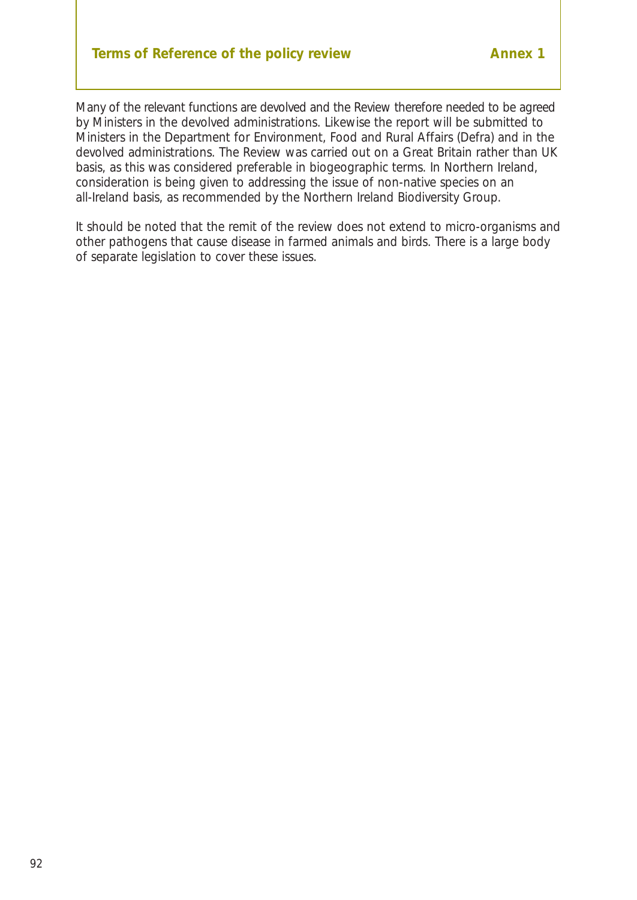# **Terms of Reference of the policy review Terms of Reference of the policy review**

Many of the relevant functions are devolved and the Review therefore needed to be agreed by Ministers in the devolved administrations. Likewise the report will be submitted to Ministers in the Department for Environment, Food and Rural Affairs (Defra) and in the devolved administrations. The Review was carried out on a Great Britain rather than UK basis, as this was considered preferable in biogeographic terms. In Northern Ireland, consideration is being given to addressing the issue of non-native species on an all-Ireland basis, as recommended by the Northern Ireland Biodiversity Group.

It should be noted that the remit of the review does not extend to micro-organisms and other pathogens that cause disease in farmed animals and birds. There is a large body of separate legislation to cover these issues.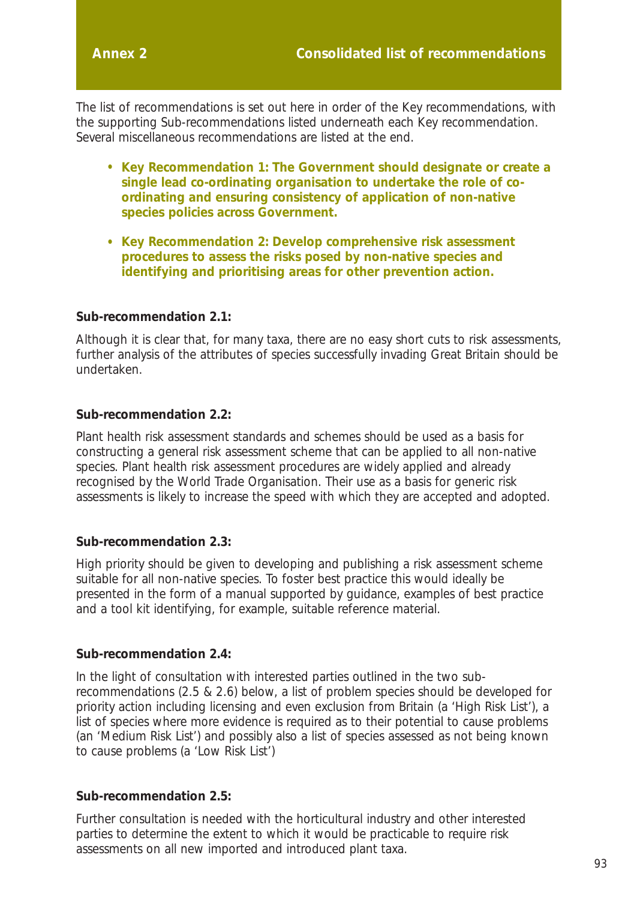The list of recommendations is set out here in order of the Key recommendations, with the supporting Sub-recommendations listed underneath each Key recommendation. Several miscellaneous recommendations are listed at the end.

- **Key Recommendation 1: The Government should designate or create a single lead co-ordinating organisation to undertake the role of coordinating and ensuring consistency of application of non-native species policies across Government.**
- **Key Recommendation 2: Develop comprehensive risk assessment procedures to assess the risks posed by non-native species and identifying and prioritising areas for other prevention action.**

#### **Sub-recommendation 2.1:**

Although it is clear that, for many taxa, there are no easy short cuts to risk assessments, further analysis of the attributes of species successfully invading Great Britain should be undertaken.

#### **Sub-recommendation 2.2:**

Plant health risk assessment standards and schemes should be used as a basis for constructing a general risk assessment scheme that can be applied to all non-native species. Plant health risk assessment procedures are widely applied and already recognised by the World Trade Organisation. Their use as a basis for generic risk assessments is likely to increase the speed with which they are accepted and adopted.

#### **Sub-recommendation 2.3:**

High priority should be given to developing and publishing a risk assessment scheme suitable for all non-native species. To foster best practice this would ideally be presented in the form of a manual supported by guidance, examples of best practice and a tool kit identifying, for example, suitable reference material.

#### **Sub-recommendation 2.4:**

In the light of consultation with interested parties outlined in the two subrecommendations (2.5 & 2.6) below, a list of problem species should be developed for priority action including licensing and even exclusion from Britain (a 'High Risk List'), a list of species where more evidence is required as to their potential to cause problems (an 'Medium Risk List') and possibly also a list of species assessed as not being known to cause problems (a 'Low Risk List')

#### **Sub-recommendation 2.5:**

Further consultation is needed with the horticultural industry and other interested parties to determine the extent to which it would be practicable to require risk assessments on all new imported and introduced plant taxa.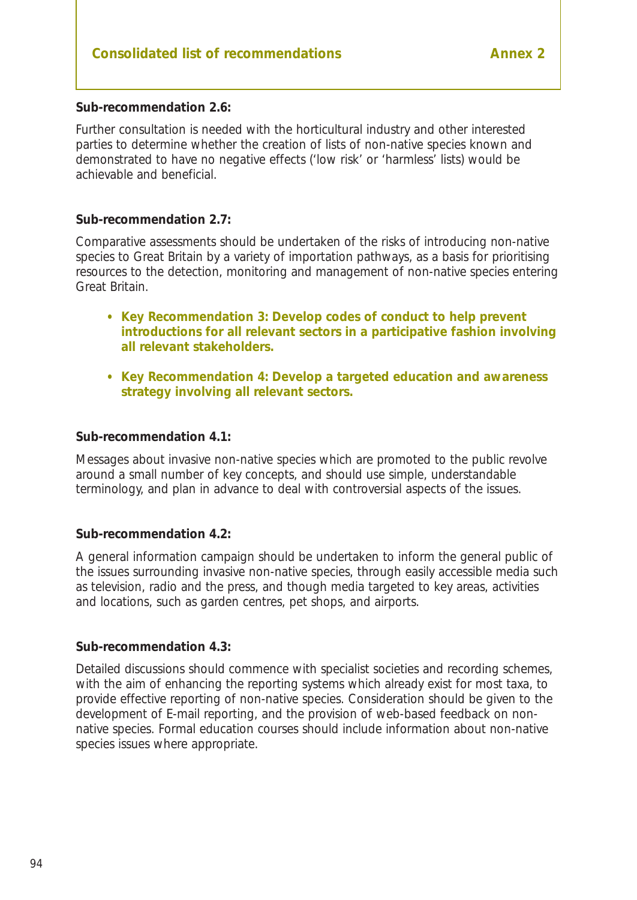#### **Sub-recommendation 2.6:**

Further consultation is needed with the horticultural industry and other interested parties to determine whether the creation of lists of non-native species known and demonstrated to have no negative effects ('low risk' or 'harmless' lists) would be achievable and beneficial.

#### **Sub-recommendation 2.7:**

Comparative assessments should be undertaken of the risks of introducing non-native species to Great Britain by a variety of importation pathways, as a basis for prioritising resources to the detection, monitoring and management of non-native species entering Great Britain.

- **Key Recommendation 3: Develop codes of conduct to help prevent introductions for all relevant sectors in a participative fashion involving all relevant stakeholders.**
- **Key Recommendation 4: Develop a targeted education and awareness strategy involving all relevant sectors.**

#### **Sub-recommendation 4.1:**

Messages about invasive non-native species which are promoted to the public revolve around a small number of key concepts, and should use simple, understandable terminology, and plan in advance to deal with controversial aspects of the issues.

#### **Sub-recommendation 4.2:**

A general information campaign should be undertaken to inform the general public of the issues surrounding invasive non-native species, through easily accessible media such as television, radio and the press, and though media targeted to key areas, activities and locations, such as garden centres, pet shops, and airports.

#### **Sub-recommendation 4.3:**

Detailed discussions should commence with specialist societies and recording schemes, with the aim of enhancing the reporting systems which already exist for most taxa, to provide effective reporting of non-native species. Consideration should be given to the development of E-mail reporting, and the provision of web-based feedback on nonnative species. Formal education courses should include information about non-native species issues where appropriate.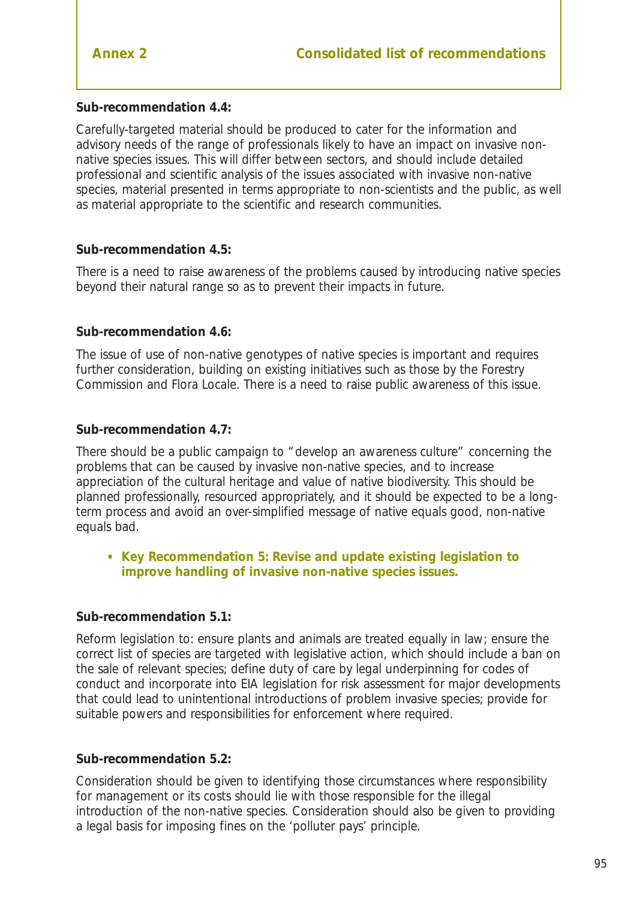#### **Sub-recommendation 4.4:**

Carefully-targeted material should be produced to cater for the information and advisory needs of the range of professionals likely to have an impact on invasive nonnative species issues. This will differ between sectors, and should include detailed professional and scientific analysis of the issues associated with invasive non-native species, material presented in terms appropriate to non-scientists and the public, as well as material appropriate to the scientific and research communities.

#### **Sub-recommendation 4.5:**

There is a need to raise awareness of the problems caused by introducing native species beyond their natural range so as to prevent their impacts in future.

#### **Sub-recommendation 4.6:**

The issue of use of non-native genotypes of native species is important and requires further consideration, building on existing initiatives such as those by the Forestry Commission and Flora Locale. There is a need to raise public awareness of this issue.

#### **Sub-recommendation 4.7:**

There should be a public campaign to "develop an awareness culture" concerning the problems that can be caused by invasive non-native species, and to increase appreciation of the cultural heritage and value of native biodiversity. This should be planned professionally, resourced appropriately, and it should be expected to be a longterm process and avoid an over-simplified message of native equals good, non-native equals bad.

• **Key Recommendation 5: Revise and update existing legislation to improve handling of invasive non-native species issues.**

#### **Sub-recommendation 5.1:**

Reform legislation to: ensure plants and animals are treated equally in law; ensure the correct list of species are targeted with legislative action, which should include a ban on the sale of relevant species; define duty of care by legal underpinning for codes of conduct and incorporate into EIA legislation for risk assessment for major developments that could lead to unintentional introductions of problem invasive species; provide for suitable powers and responsibilities for enforcement where required.

#### **Sub-recommendation 5.2:**

Consideration should be given to identifying those circumstances where responsibility for management or its costs should lie with those responsible for the illegal introduction of the non-native species. Consideration should also be given to providing a legal basis for imposing fines on the 'polluter pays' principle.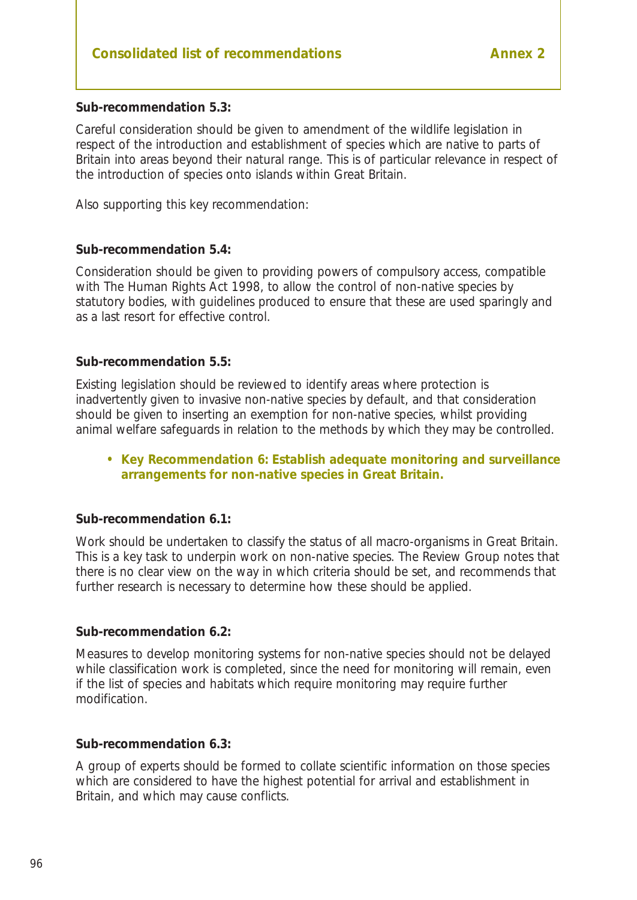#### **Sub-recommendation 5.3:**

Careful consideration should be given to amendment of the wildlife legislation in respect of the introduction and establishment of species which are native to parts of Britain into areas beyond their natural range. This is of particular relevance in respect of the introduction of species onto islands within Great Britain.

Also supporting this key recommendation:

#### **Sub-recommendation 5.4:**

Consideration should be given to providing powers of compulsory access, compatible with The Human Rights Act 1998, to allow the control of non-native species by statutory bodies, with guidelines produced to ensure that these are used sparingly and as a last resort for effective control.

#### **Sub-recommendation 5.5:**

Existing legislation should be reviewed to identify areas where protection is inadvertently given to invasive non-native species by default, and that consideration should be given to inserting an exemption for non-native species, whilst providing animal welfare safeguards in relation to the methods by which they may be controlled.

#### • **Key Recommendation 6: Establish adequate monitoring and surveillance arrangements for non-native species in Great Britain.**

#### **Sub-recommendation 6.1:**

Work should be undertaken to classify the status of all macro-organisms in Great Britain. This is a key task to underpin work on non-native species. The Review Group notes that there is no clear view on the way in which criteria should be set, and recommends that further research is necessary to determine how these should be applied.

#### **Sub-recommendation 6.2:**

Measures to develop monitoring systems for non-native species should not be delayed while classification work is completed, since the need for monitoring will remain, even if the list of species and habitats which require monitoring may require further modification.

#### **Sub-recommendation 6.3:**

A group of experts should be formed to collate scientific information on those species which are considered to have the highest potential for arrival and establishment in Britain, and which may cause conflicts.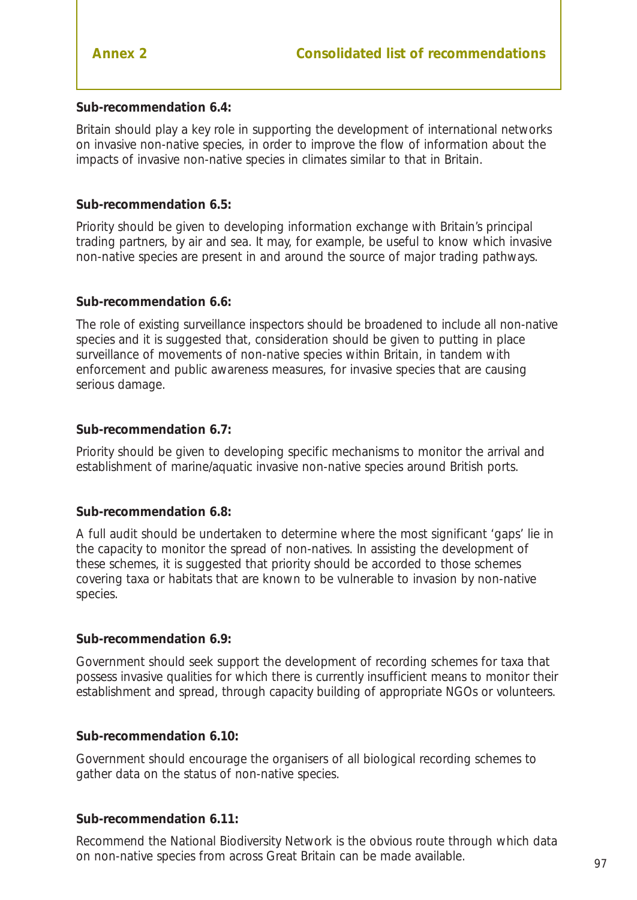#### **Sub-recommendation 6.4:**

Britain should play a key role in supporting the development of international networks on invasive non-native species, in order to improve the flow of information about the impacts of invasive non-native species in climates similar to that in Britain.

#### **Sub-recommendation 6.5:**

Priority should be given to developing information exchange with Britain's principal trading partners, by air and sea. It may, for example, be useful to know which invasive non-native species are present in and around the source of major trading pathways.

#### **Sub-recommendation 6.6:**

The role of existing surveillance inspectors should be broadened to include all non-native species and it is suggested that, consideration should be given to putting in place surveillance of movements of non-native species within Britain, in tandem with enforcement and public awareness measures, for invasive species that are causing serious damage.

#### **Sub-recommendation 6.7:**

Priority should be given to developing specific mechanisms to monitor the arrival and establishment of marine/aquatic invasive non-native species around British ports.

#### **Sub-recommendation 6.8:**

A full audit should be undertaken to determine where the most significant 'gaps' lie in the capacity to monitor the spread of non-natives. In assisting the development of these schemes, it is suggested that priority should be accorded to those schemes covering taxa or habitats that are known to be vulnerable to invasion by non-native species.

#### **Sub-recommendation 6.9:**

Government should seek support the development of recording schemes for taxa that possess invasive qualities for which there is currently insufficient means to monitor their establishment and spread, through capacity building of appropriate NGOs or volunteers.

#### **Sub-recommendation 6.10:**

Government should encourage the organisers of all biological recording schemes to gather data on the status of non-native species.

#### **Sub-recommendation 6.11:**

Recommend the National Biodiversity Network is the obvious route through which data on non-native species from across Great Britain can be made available.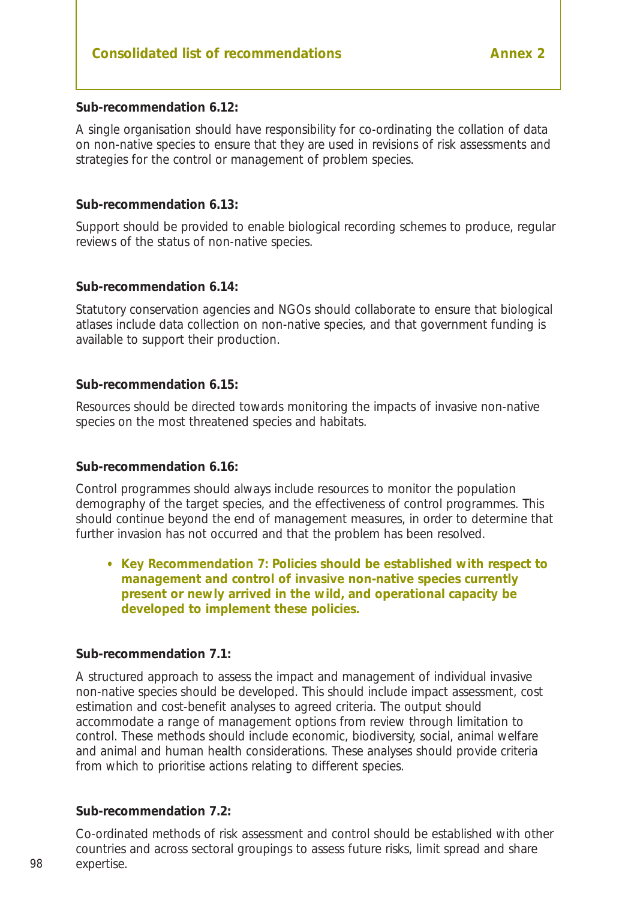#### **Sub-recommendation 6.12:**

A single organisation should have responsibility for co-ordinating the collation of data on non-native species to ensure that they are used in revisions of risk assessments and strategies for the control or management of problem species.

#### **Sub-recommendation 6.13:**

Support should be provided to enable biological recording schemes to produce, regular reviews of the status of non-native species.

#### **Sub-recommendation 6.14:**

Statutory conservation agencies and NGOs should collaborate to ensure that biological atlases include data collection on non-native species, and that government funding is available to support their production.

#### **Sub-recommendation 6.15:**

Resources should be directed towards monitoring the impacts of invasive non-native species on the most threatened species and habitats.

#### **Sub-recommendation 6.16:**

Control programmes should always include resources to monitor the population demography of the target species, and the effectiveness of control programmes. This should continue beyond the end of management measures, in order to determine that further invasion has not occurred and that the problem has been resolved.

#### • **Key Recommendation 7: Policies should be established with respect to management and control of invasive non-native species currently present or newly arrived in the wild, and operational capacity be developed to implement these policies.**

#### **Sub-recommendation 7.1:**

A structured approach to assess the impact and management of individual invasive non-native species should be developed. This should include impact assessment, cost estimation and cost-benefit analyses to agreed criteria. The output should accommodate a range of management options from review through limitation to control. These methods should include economic, biodiversity, social, animal welfare and animal and human health considerations. These analyses should provide criteria from which to prioritise actions relating to different species.

#### **Sub-recommendation 7.2:**

Co-ordinated methods of risk assessment and control should be established with other countries and across sectoral groupings to assess future risks, limit spread and share expertise.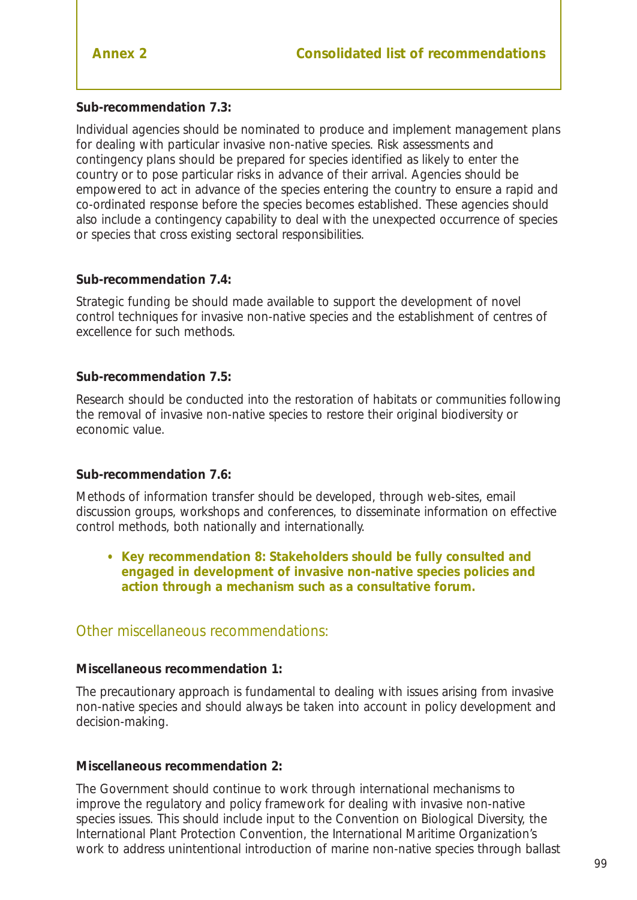#### **Sub-recommendation 7.3:**

Individual agencies should be nominated to produce and implement management plans for dealing with particular invasive non-native species. Risk assessments and contingency plans should be prepared for species identified as likely to enter the country or to pose particular risks in advance of their arrival. Agencies should be empowered to act in advance of the species entering the country to ensure a rapid and co-ordinated response before the species becomes established. These agencies should also include a contingency capability to deal with the unexpected occurrence of species or species that cross existing sectoral responsibilities.

#### **Sub-recommendation 7.4:**

Strategic funding be should made available to support the development of novel control techniques for invasive non-native species and the establishment of centres of excellence for such methods.

#### **Sub-recommendation 7.5:**

Research should be conducted into the restoration of habitats or communities following the removal of invasive non-native species to restore their original biodiversity or economic value.

#### **Sub-recommendation 7.6:**

Methods of information transfer should be developed, through web-sites, email discussion groups, workshops and conferences, to disseminate information on effective control methods, both nationally and internationally.

• **Key recommendation 8: Stakeholders should be fully consulted and engaged in development of invasive non-native species policies and action through a mechanism such as a consultative forum.**

#### Other miscellaneous recommendations:

#### **Miscellaneous recommendation 1:**

The precautionary approach is fundamental to dealing with issues arising from invasive non-native species and should always be taken into account in policy development and decision-making.

#### **Miscellaneous recommendation 2:**

The Government should continue to work through international mechanisms to improve the regulatory and policy framework for dealing with invasive non-native species issues. This should include input to the Convention on Biological Diversity, the International Plant Protection Convention, the International Maritime Organization's work to address unintentional introduction of marine non-native species through ballast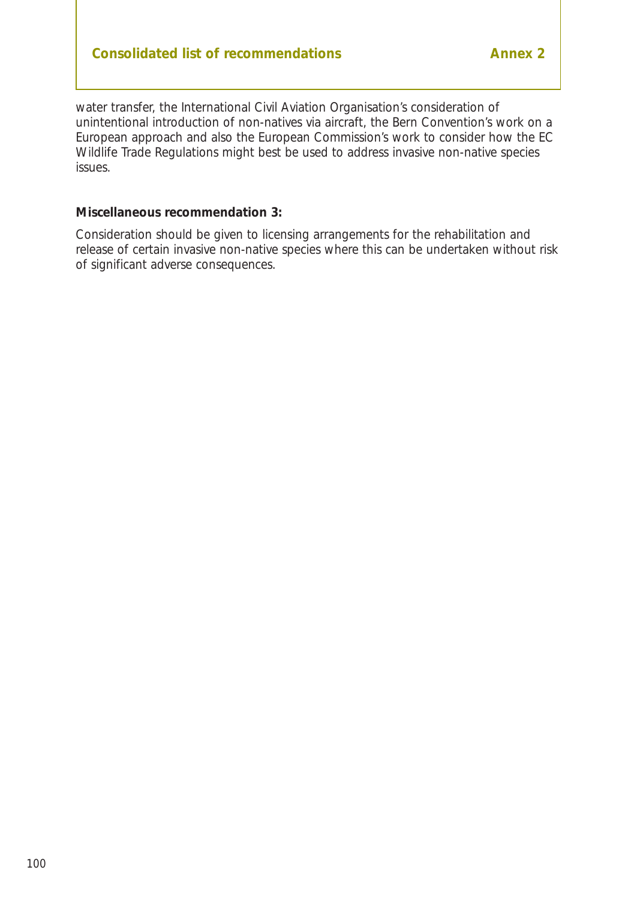water transfer, the International Civil Aviation Organisation's consideration of unintentional introduction of non-natives via aircraft, the Bern Convention's work on a European approach and also the European Commission's work to consider how the EC Wildlife Trade Regulations might best be used to address invasive non-native species issues.

#### **Miscellaneous recommendation 3:**

Consideration should be given to licensing arrangements for the rehabilitation and release of certain invasive non-native species where this can be undertaken without risk of significant adverse consequences.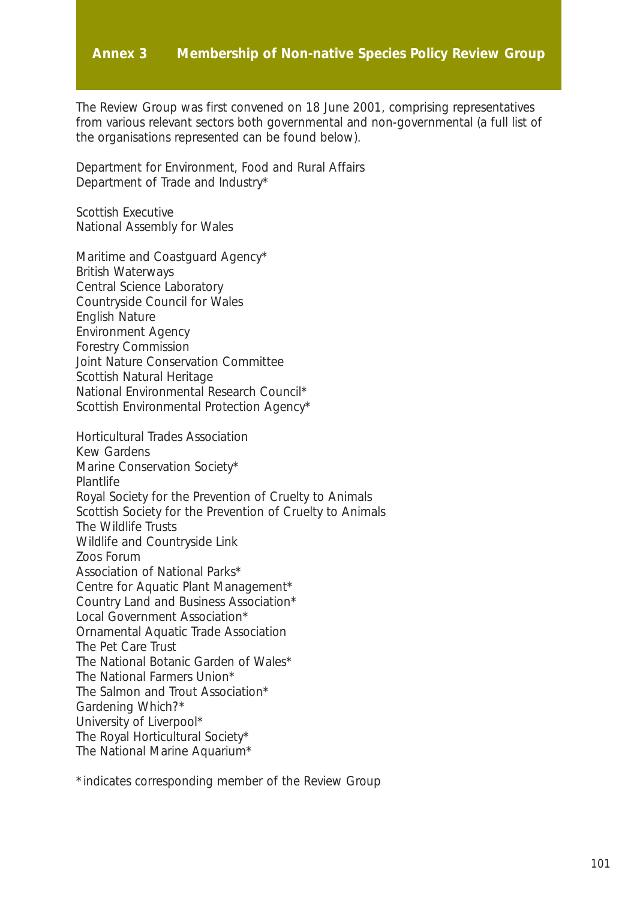#### **Annex 3 Membership of Non-native Species Policy Review Group**

The Review Group was first convened on 18 June 2001, comprising representatives from various relevant sectors both governmental and non-governmental (a full list of the organisations represented can be found below).

Department for Environment, Food and Rural Affairs Department of Trade and Industry\*

Scottish Executive National Assembly for Wales

Maritime and Coastguard Agency\* British Waterways Central Science Laboratory Countryside Council for Wales English Nature Environment Agency Forestry Commission Joint Nature Conservation Committee Scottish Natural Heritage National Environmental Research Council\* Scottish Environmental Protection Agency\*

Horticultural Trades Association Kew Gardens Marine Conservation Society\* Plantlife Royal Society for the Prevention of Cruelty to Animals Scottish Society for the Prevention of Cruelty to Animals The Wildlife Trusts Wildlife and Countryside Link Zoos Forum Association of National Parks\* Centre for Aquatic Plant Management\* Country Land and Business Association\* Local Government Association\* Ornamental Aquatic Trade Association The Pet Care Trust The National Botanic Garden of Wales\* The National Farmers Union\* The Salmon and Trout Association\* Gardening Which?\* University of Liverpool\* The Royal Horticultural Society\* The National Marine Aquarium\*

\*indicates corresponding member of the Review Group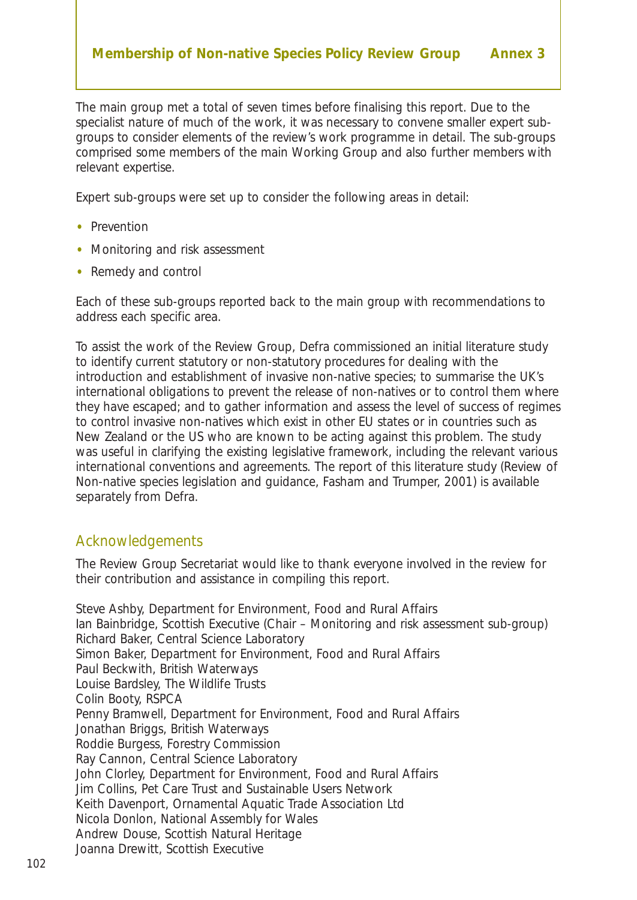The main group met a total of seven times before finalising this report. Due to the specialist nature of much of the work, it was necessary to convene smaller expert subgroups to consider elements of the review's work programme in detail. The sub-groups comprised some members of the main Working Group and also further members with relevant expertise.

Expert sub-groups were set up to consider the following areas in detail:

- Prevention
- Monitoring and risk assessment
- Remedy and control

Each of these sub-groups reported back to the main group with recommendations to address each specific area.

To assist the work of the Review Group, Defra commissioned an initial literature study to identify current statutory or non-statutory procedures for dealing with the introduction and establishment of invasive non-native species; to summarise the UK's international obligations to prevent the release of non-natives or to control them where they have escaped; and to gather information and assess the level of success of regimes to control invasive non-natives which exist in other EU states or in countries such as New Zealand or the US who are known to be acting against this problem. The study was useful in clarifying the existing legislative framework, including the relevant various international conventions and agreements. The report of this literature study (Review of Non-native species legislation and guidance, Fasham and Trumper, 2001) is available separately from Defra.

#### Acknowledgements

The Review Group Secretariat would like to thank everyone involved in the review for their contribution and assistance in compiling this report.

Steve Ashby, Department for Environment, Food and Rural Affairs Ian Bainbridge, Scottish Executive (Chair – Monitoring and risk assessment sub-group) Richard Baker, Central Science Laboratory Simon Baker, Department for Environment, Food and Rural Affairs Paul Beckwith, British Waterways Louise Bardsley, The Wildlife Trusts Colin Booty, RSPCA Penny Bramwell, Department for Environment, Food and Rural Affairs Jonathan Briggs, British Waterways Roddie Burgess, Forestry Commission Ray Cannon, Central Science Laboratory John Clorley, Department for Environment, Food and Rural Affairs Jim Collins, Pet Care Trust and Sustainable Users Network Keith Davenport, Ornamental Aquatic Trade Association Ltd Nicola Donlon, National Assembly for Wales Andrew Douse, Scottish Natural Heritage Joanna Drewitt, Scottish Executive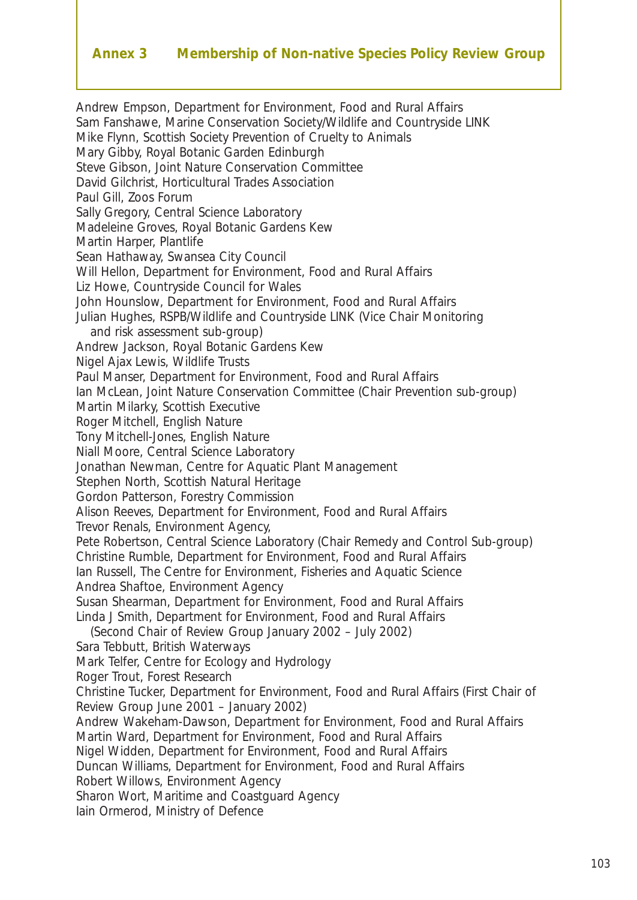#### **Annex 3 Membership of Non-native Species Policy Review Group**

Andrew Empson, Department for Environment, Food and Rural Affairs Sam Fanshawe, Marine Conservation Society/Wildlife and Countryside LINK Mike Flynn, Scottish Society Prevention of Cruelty to Animals Mary Gibby, Royal Botanic Garden Edinburgh Steve Gibson, Joint Nature Conservation Committee David Gilchrist, Horticultural Trades Association Paul Gill, Zoos Forum Sally Gregory, Central Science Laboratory Madeleine Groves, Royal Botanic Gardens Kew Martin Harper, Plantlife Sean Hathaway, Swansea City Council Will Hellon, Department for Environment, Food and Rural Affairs Liz Howe, Countryside Council for Wales John Hounslow, Department for Environment, Food and Rural Affairs Julian Hughes, RSPB/Wildlife and Countryside LINK (Vice Chair Monitoring and risk assessment sub-group) Andrew Jackson, Royal Botanic Gardens Kew Nigel Ajax Lewis, Wildlife Trusts Paul Manser, Department for Environment, Food and Rural Affairs Ian McLean, Joint Nature Conservation Committee (Chair Prevention sub-group) Martin Milarky, Scottish Executive Roger Mitchell, English Nature Tony Mitchell-Jones, English Nature Niall Moore, Central Science Laboratory Jonathan Newman, Centre for Aquatic Plant Management Stephen North, Scottish Natural Heritage Gordon Patterson, Forestry Commission Alison Reeves, Department for Environment, Food and Rural Affairs Trevor Renals, Environment Agency, Pete Robertson, Central Science Laboratory (Chair Remedy and Control Sub-group) Christine Rumble, Department for Environment, Food and Rural Affairs Ian Russell, The Centre for Environment, Fisheries and Aquatic Science Andrea Shaftoe, Environment Agency Susan Shearman, Department for Environment, Food and Rural Affairs Linda J Smith, Department for Environment, Food and Rural Affairs (Second Chair of Review Group January 2002 – July 2002) Sara Tebbutt, British Waterways Mark Telfer, Centre for Ecology and Hydrology Roger Trout, Forest Research Christine Tucker, Department for Environment, Food and Rural Affairs (First Chair of Review Group June 2001 – January 2002) Andrew Wakeham-Dawson, Department for Environment, Food and Rural Affairs Martin Ward, Department for Environment, Food and Rural Affairs Nigel Widden, Department for Environment, Food and Rural Affairs Duncan Williams, Department for Environment, Food and Rural Affairs Robert Willows, Environment Agency Sharon Wort, Maritime and Coastguard Agency Iain Ormerod, Ministry of Defence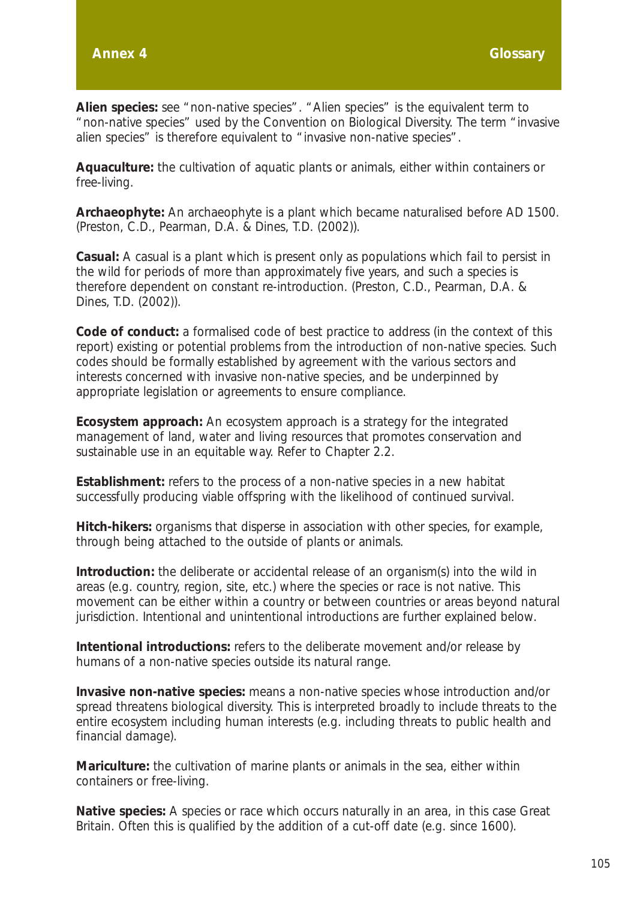**Alien species:** see "non-native species". "Alien species" is the equivalent term to "non-native species" used by the Convention on Biological Diversity. The term "invasive alien species" is therefore equivalent to "invasive non-native species".

**Aquaculture:** the cultivation of aquatic plants or animals, either within containers or free-living.

**Archaeophyte:** An archaeophyte is a plant which became naturalised before AD 1500. (Preston, C.D., Pearman, D.A. & Dines, T.D. (2002)).

**Casual:** A casual is a plant which is present only as populations which fail to persist in the wild for periods of more than approximately five years, and such a species is therefore dependent on constant re-introduction. (Preston, C.D., Pearman, D.A. & Dines, T.D. (2002)).

**Code of conduct:** a formalised code of best practice to address (in the context of this report) existing or potential problems from the introduction of non-native species. Such codes should be formally established by agreement with the various sectors and interests concerned with invasive non-native species, and be underpinned by appropriate legislation or agreements to ensure compliance.

**Ecosystem approach:** An ecosystem approach is a strategy for the integrated management of land, water and living resources that promotes conservation and sustainable use in an equitable way. Refer to Chapter 2.2.

**Establishment:** refers to the process of a non-native species in a new habitat successfully producing viable offspring with the likelihood of continued survival.

**Hitch-hikers:** organisms that disperse in association with other species, for example, through being attached to the outside of plants or animals.

**Introduction:** the deliberate or accidental release of an organism(s) into the wild in areas (*e.g.* country, region, site, *etc*.) where the species or race is not native. This movement can be either within a country or between countries or areas beyond natural jurisdiction. Intentional and unintentional introductions are further explained below.

**Intentional introductions:** refers to the deliberate movement and/or release by humans of a non-native species outside its natural range.

**Invasive non-native species:** means a non-native species whose introduction and/or spread threatens biological diversity. This is interpreted broadly to include threats to the entire ecosystem including human interests (*e.g.* including threats to public health and financial damage).

**Mariculture:** the cultivation of marine plants or animals in the sea, either within containers or free-living.

**Native species:** A species or race which occurs naturally in an area, in this case Great Britain. Often this is qualified by the addition of a cut-off date (*e.g.* since 1600).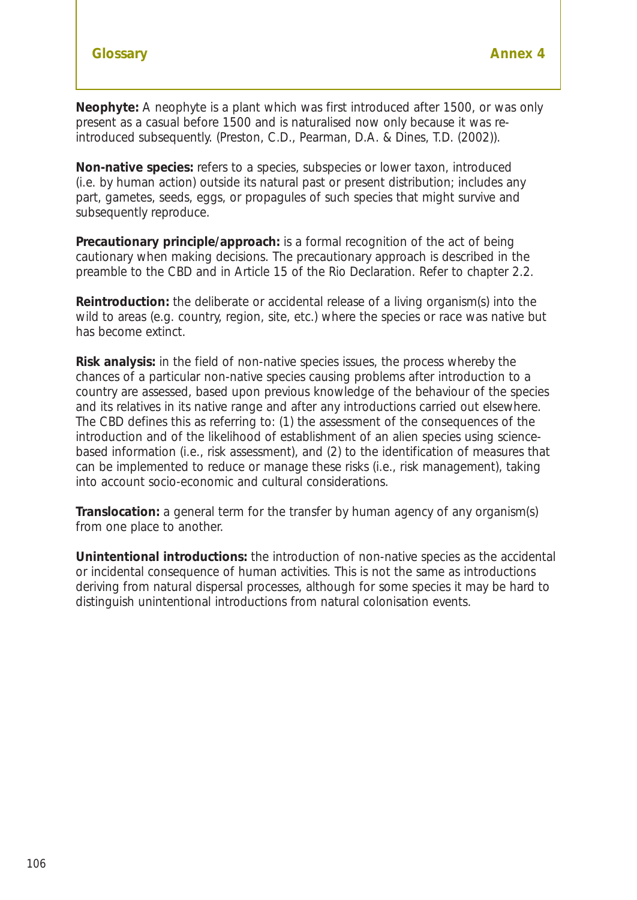**Neophyte:** A *neophyte* is a plant which was first introduced after 1500, or was only present as a casual before 1500 and is naturalised now only because it was reintroduced subsequently. (Preston, C.D., Pearman, D.A. & Dines, T.D. (2002)).

**Non-native species:** refers to a species, subspecies or lower taxon, introduced *(i.e.* by human action) outside its natural past or present distribution; includes any part, gametes, seeds, eggs, or propagules of such species that might survive and subsequently reproduce.

**Precautionary principle/approach:** is a formal recognition of the act of being cautionary when making decisions. The precautionary approach is described in the preamble to the CBD and in Article 15 of the Rio Declaration. Refer to chapter 2.2.

**Reintroduction:** the deliberate or accidental release of a living organism(s) into the wild to areas (*e.g.* country, region, site, etc.) where the species or race was native but has become extinct.

**Risk analysis:** in the field of non-native species issues, the process whereby the chances of a particular non-native species causing problems after introduction to a country are assessed, based upon previous knowledge of the behaviour of the species and its relatives in its native range and after any introductions carried out elsewhere. The CBD defines this as referring to: (1) the assessment of the consequences of the introduction and of the likelihood of establishment of an alien species using sciencebased information (*i.e.*, risk assessment), and (2) to the identification of measures that can be implemented to reduce or manage these risks (*i.e.*, risk management), taking into account socio-economic and cultural considerations.

**Translocation:** a general term for the transfer by human agency of any organism(s) from one place to another.

**Unintentional introductions:** the introduction of non-native species as the accidental or incidental consequence of human activities. This is not the same as introductions deriving from natural dispersal processes, although for some species it may be hard to distinguish unintentional introductions from natural colonisation events.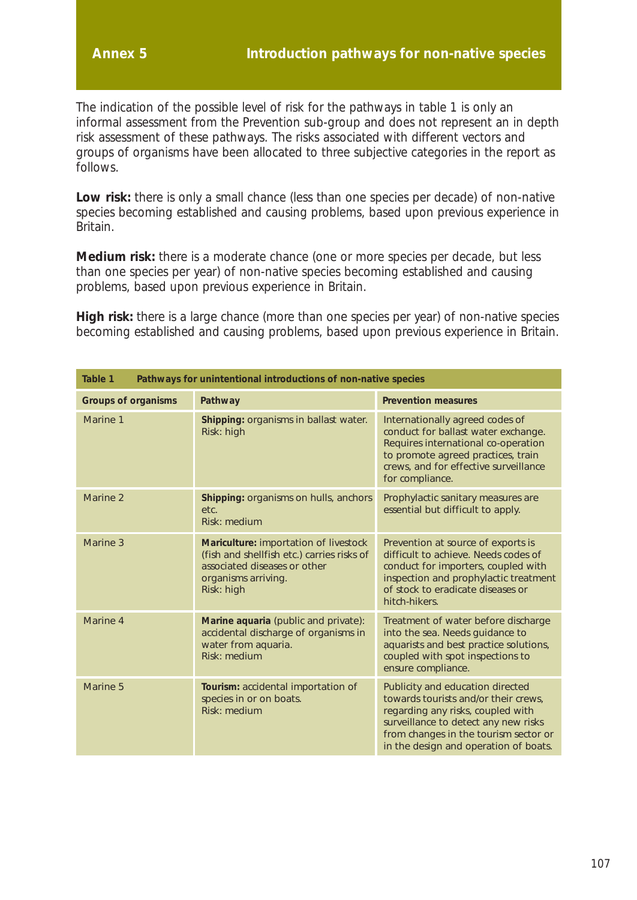The indication of the possible level of risk for the pathways in table 1 is only an informal assessment from the Prevention sub-group and does not represent an in depth risk assessment of these pathways. The risks associated with different vectors and groups of organisms have been allocated to three subjective categories in the report as follows.

Low risk: there is only a small chance (less than one species per decade) of non-native species becoming established and causing problems, based upon previous experience in Britain.

**Medium risk:** there is a moderate chance (one or more species per decade, but less than one species per year) of non-native species becoming established and causing problems, based upon previous experience in Britain.

**High risk:** there is a large chance (more than one species per year) of non-native species becoming established and causing problems, based upon previous experience in Britain.

| Table 1<br>Pathways for unintentional introductions of non-native species |                                                                                                                                                          |                                                                                                                                                                                                                                         |  |  |  |  |  |
|---------------------------------------------------------------------------|----------------------------------------------------------------------------------------------------------------------------------------------------------|-----------------------------------------------------------------------------------------------------------------------------------------------------------------------------------------------------------------------------------------|--|--|--|--|--|
| <b>Prevention measures</b><br><b>Groups of organisms</b><br>Pathway       |                                                                                                                                                          |                                                                                                                                                                                                                                         |  |  |  |  |  |
| Marine 1                                                                  | Shipping: organisms in ballast water.<br>Risk: high                                                                                                      | Internationally agreed codes of<br>conduct for ballast water exchange.<br>Requires international co-operation<br>to promote agreed practices, train<br>crews, and for effective surveillance<br>for compliance.                         |  |  |  |  |  |
| Marine 2                                                                  | Shipping: organisms on hulls, anchors<br>etc.<br>Risk: medium                                                                                            | Prophylactic sanitary measures are<br>essential but difficult to apply.                                                                                                                                                                 |  |  |  |  |  |
| Marine 3                                                                  | Mariculture: importation of livestock<br>(fish and shellfish etc.) carries risks of<br>associated diseases or other<br>organisms arriving.<br>Risk: high | Prevention at source of exports is<br>difficult to achieve. Needs codes of<br>conduct for importers, coupled with<br>inspection and prophylactic treatment<br>of stock to eradicate diseases or<br>hitch-hikers.                        |  |  |  |  |  |
| Marine <sub>4</sub>                                                       | Marine aquaria (public and private):<br>accidental discharge of organisms in<br>water from aquaria.<br>Risk: medium                                      | Treatment of water before discharge<br>into the sea. Needs guidance to<br>aquarists and best practice solutions,<br>coupled with spot inspections to<br>ensure compliance.                                                              |  |  |  |  |  |
| Marine 5                                                                  | Tourism: accidental importation of<br>species in or on boats.<br>Risk: medium                                                                            | Publicity and education directed<br>towards tourists and/or their crews,<br>regarding any risks, coupled with<br>surveillance to detect any new risks<br>from changes in the tourism sector or<br>in the design and operation of boats. |  |  |  |  |  |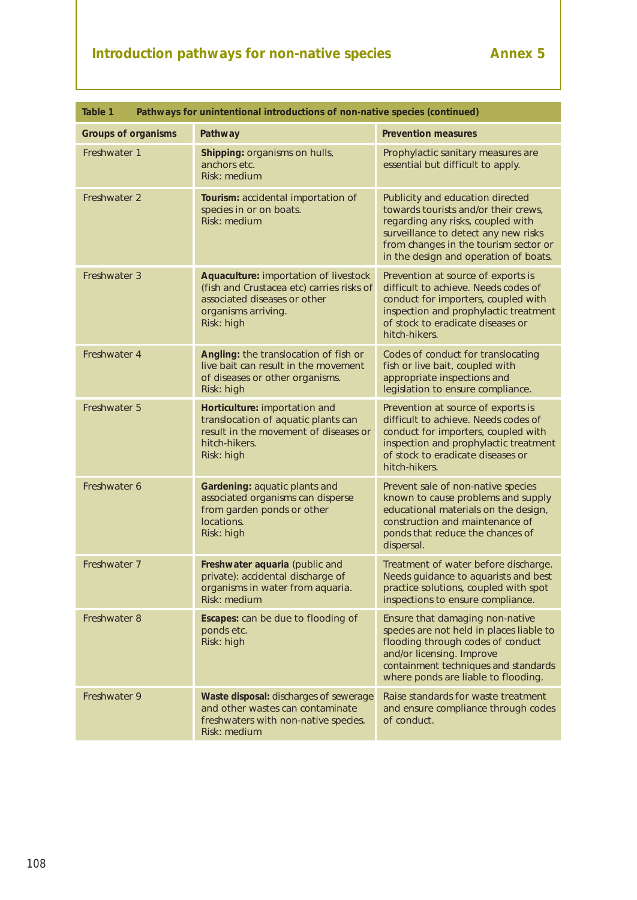# **Introduction pathways for non-native species Annex 5**

| Table 1<br>Pathways for unintentional introductions of non-native species (continued) |                                                                                                                                                         |                                                                                                                                                                                                                                         |  |  |  |  |  |  |
|---------------------------------------------------------------------------------------|---------------------------------------------------------------------------------------------------------------------------------------------------------|-----------------------------------------------------------------------------------------------------------------------------------------------------------------------------------------------------------------------------------------|--|--|--|--|--|--|
| <b>Groups of organisms</b>                                                            | Pathway                                                                                                                                                 | <b>Prevention measures</b>                                                                                                                                                                                                              |  |  |  |  |  |  |
| Freshwater 1                                                                          | Shipping: organisms on hulls,<br>anchors etc.<br>Risk: medium                                                                                           | Prophylactic sanitary measures are<br>essential but difficult to apply.                                                                                                                                                                 |  |  |  |  |  |  |
| Freshwater 2                                                                          | Tourism: accidental importation of<br>species in or on boats.<br>Risk: medium                                                                           | Publicity and education directed<br>towards tourists and/or their crews,<br>regarding any risks, coupled with<br>surveillance to detect any new risks<br>from changes in the tourism sector or<br>in the design and operation of boats. |  |  |  |  |  |  |
| Freshwater 3                                                                          | Aquaculture: importation of livestock<br>(fish and Crustacea etc) carries risks of<br>associated diseases or other<br>organisms arriving.<br>Risk: high | Prevention at source of exports is<br>difficult to achieve. Needs codes of<br>conduct for importers, coupled with<br>inspection and prophylactic treatment<br>of stock to eradicate diseases or<br>hitch-hikers.                        |  |  |  |  |  |  |
| Freshwater 4                                                                          | Angling: the translocation of fish or<br>live bait can result in the movement<br>of diseases or other organisms.<br>Risk: high                          | Codes of conduct for translocating<br>fish or live bait, coupled with<br>appropriate inspections and<br>legislation to ensure compliance.                                                                                               |  |  |  |  |  |  |
| Freshwater 5                                                                          | Horticulture: importation and<br>translocation of aquatic plants can<br>result in the movement of diseases or<br>hitch-hikers.<br>Risk: high            | Prevention at source of exports is<br>difficult to achieve. Needs codes of<br>conduct for importers, coupled with<br>inspection and prophylactic treatment<br>of stock to eradicate diseases or<br>hitch-hikers.                        |  |  |  |  |  |  |
| Freshwater 6                                                                          | Gardening: aquatic plants and<br>associated organisms can disperse<br>from garden ponds or other<br>locations.<br>Risk: high                            | Prevent sale of non-native species<br>known to cause problems and supply<br>educational materials on the design,<br>construction and maintenance of<br>ponds that reduce the chances of<br>dispersal.                                   |  |  |  |  |  |  |
| Freshwater 7                                                                          | Freshwater aquaria (public and<br>private): accidental discharge of<br>organisms in water from aquaria.<br>Risk: medium                                 | Treatment of water before discharge.<br>Needs guidance to aquarists and best<br>practice solutions, coupled with spot<br>inspections to ensure compliance.                                                                              |  |  |  |  |  |  |
| Freshwater 8                                                                          | Escapes: can be due to flooding of<br>ponds etc.<br>Risk: high                                                                                          | Ensure that damaging non-native<br>species are not held in places liable to<br>flooding through codes of conduct<br>and/or licensing. Improve<br>containment techniques and standards<br>where ponds are liable to flooding.            |  |  |  |  |  |  |
| Freshwater 9                                                                          | Waste disposal: discharges of sewerage<br>and other wastes can contaminate<br>freshwaters with non-native species.<br>Risk: medium                      | Raise standards for waste treatment<br>and ensure compliance through codes<br>of conduct.                                                                                                                                               |  |  |  |  |  |  |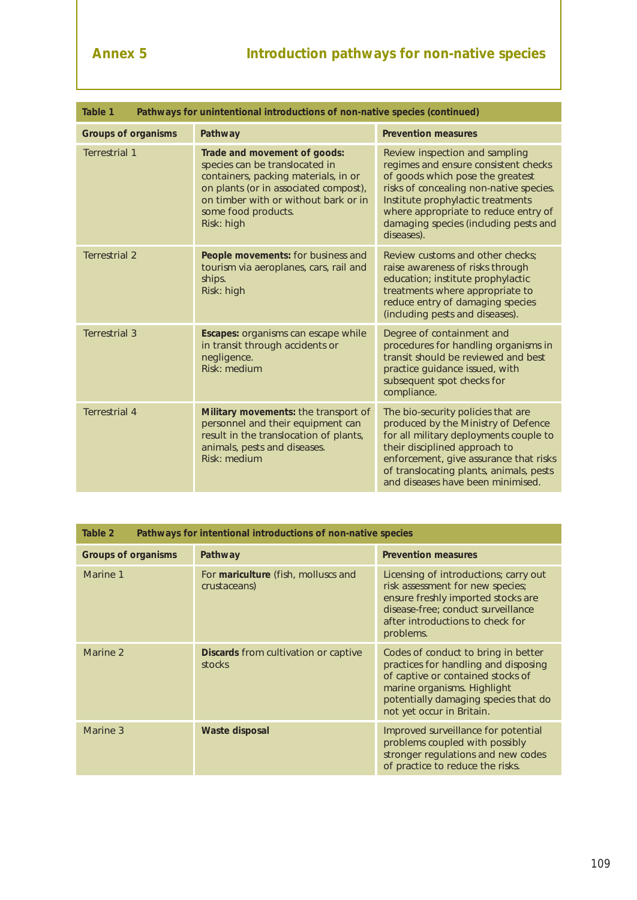| Table 1<br>Pathways for unintentional introductions of non-native species (continued) |                                                                                                                                                                                                                              |                                                                                                                                                                                                                                                                                                                                                                                                                                                                                                                  |  |  |  |  |  |  |
|---------------------------------------------------------------------------------------|------------------------------------------------------------------------------------------------------------------------------------------------------------------------------------------------------------------------------|------------------------------------------------------------------------------------------------------------------------------------------------------------------------------------------------------------------------------------------------------------------------------------------------------------------------------------------------------------------------------------------------------------------------------------------------------------------------------------------------------------------|--|--|--|--|--|--|
| <b>Prevention measures</b><br><b>Groups of organisms</b><br>Pathway                   |                                                                                                                                                                                                                              |                                                                                                                                                                                                                                                                                                                                                                                                                                                                                                                  |  |  |  |  |  |  |
| <b>Terrestrial 1</b>                                                                  | Trade and movement of goods:<br>species can be translocated in<br>containers, packing materials, in or<br>on plants (or in associated compost),<br>on timber with or without bark or in<br>some food products.<br>Risk: high | Review inspection and sampling<br>regimes and ensure consistent checks<br>of goods which pose the greatest<br>risks of concealing non-native species.<br>Institute prophylactic treatments<br>where appropriate to reduce entry of<br>damaging species (including pests and<br>diseases).<br>Review customs and other checks:<br>raise awareness of risks through<br>education; institute prophylactic<br>treatments where appropriate to<br>reduce entry of damaging species<br>(including pests and diseases). |  |  |  |  |  |  |
| <b>Terrestrial 2</b>                                                                  | People movements: for business and<br>tourism via aeroplanes, cars, rail and<br>ships.<br>Risk: high                                                                                                                         |                                                                                                                                                                                                                                                                                                                                                                                                                                                                                                                  |  |  |  |  |  |  |
| <b>Terrestrial 3</b>                                                                  | Escapes: organisms can escape while<br>in transit through accidents or<br>negligence.<br>Risk: medium                                                                                                                        | Degree of containment and<br>procedures for handling organisms in<br>transit should be reviewed and best<br>practice guidance issued, with<br>subsequent spot checks for<br>compliance.                                                                                                                                                                                                                                                                                                                          |  |  |  |  |  |  |
| <b>Terrestrial 4</b>                                                                  | Military movements: the transport of<br>personnel and their equipment can<br>result in the translocation of plants,<br>animals, pests and diseases.<br>Risk: medium                                                          | The bio-security policies that are<br>produced by the Ministry of Defence<br>for all military deployments couple to<br>their disciplined approach to<br>enforcement, give assurance that risks<br>of translocating plants, animals, pests<br>and diseases have been minimised.                                                                                                                                                                                                                                   |  |  |  |  |  |  |

| Pathways for intentional introductions of non-native species<br>Table 2 |                                                       |                                                                                                                                                                                                                      |  |  |  |  |  |
|-------------------------------------------------------------------------|-------------------------------------------------------|----------------------------------------------------------------------------------------------------------------------------------------------------------------------------------------------------------------------|--|--|--|--|--|
| <b>Groups of organisms</b>                                              | Pathway                                               | <b>Prevention measures</b>                                                                                                                                                                                           |  |  |  |  |  |
| Marine 1                                                                | For mariculture (fish, molluscs and<br>crustaceans)   | Licensing of introductions; carry out<br>risk assessment for new species;<br>ensure freshly imported stocks are<br>disease-free; conduct surveillance<br>after introductions to check for<br>problems.               |  |  |  |  |  |
| Marine 2                                                                | <b>Discards</b> from cultivation or captive<br>stocks | Codes of conduct to bring in better<br>practices for handling and disposing<br>of captive or contained stocks of<br>marine organisms. Highlight<br>potentially damaging species that do<br>not yet occur in Britain. |  |  |  |  |  |
| Marine 3                                                                | Waste disposal                                        | Improved surveillance for potential<br>problems coupled with possibly<br>stronger regulations and new codes<br>of practice to reduce the risks.                                                                      |  |  |  |  |  |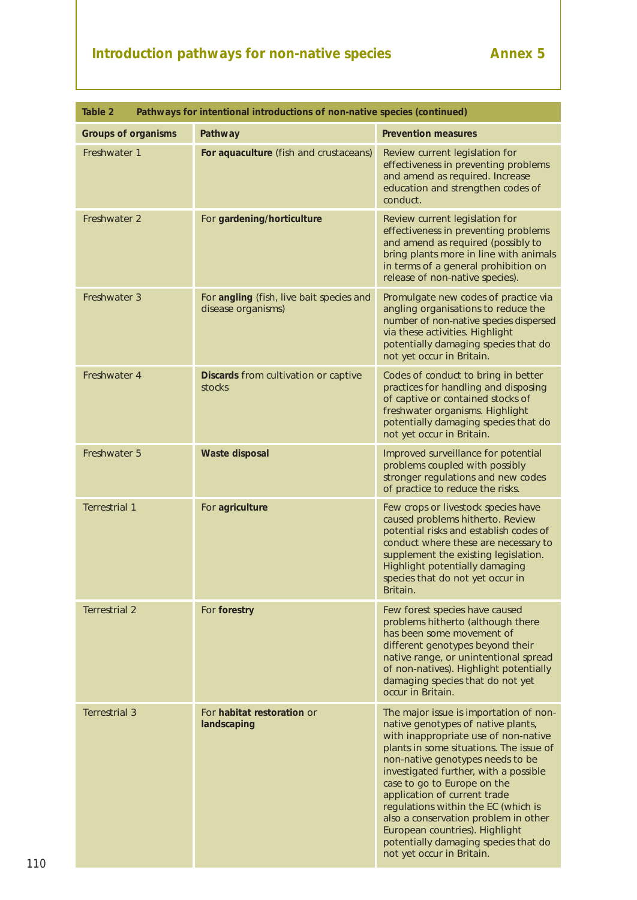# **Introduction pathways for non-native species Annex 5**

| Table 2<br>Pathways for intentional introductions of non-native species (continued) |                                                                |                                                                                                                                                                                                                                                                                                                                                                                                                                                                                                   |  |  |  |  |  |
|-------------------------------------------------------------------------------------|----------------------------------------------------------------|---------------------------------------------------------------------------------------------------------------------------------------------------------------------------------------------------------------------------------------------------------------------------------------------------------------------------------------------------------------------------------------------------------------------------------------------------------------------------------------------------|--|--|--|--|--|
| <b>Groups of organisms</b>                                                          | Pathway                                                        | <b>Prevention measures</b>                                                                                                                                                                                                                                                                                                                                                                                                                                                                        |  |  |  |  |  |
| Freshwater 1                                                                        | For aquaculture (fish and crustaceans)                         | Review current legislation for<br>effectiveness in preventing problems<br>and amend as required. Increase<br>education and strengthen codes of<br>conduct.                                                                                                                                                                                                                                                                                                                                        |  |  |  |  |  |
| Freshwater 2                                                                        | For gardening/horticulture                                     | Review current legislation for<br>effectiveness in preventing problems<br>and amend as required (possibly to<br>bring plants more in line with animals<br>in terms of a general prohibition on<br>release of non-native species).                                                                                                                                                                                                                                                                 |  |  |  |  |  |
| Freshwater 3                                                                        | For angling (fish, live bait species and<br>disease organisms) | Promulgate new codes of practice via<br>angling organisations to reduce the<br>number of non-native species dispersed<br>via these activities. Highlight<br>potentially damaging species that do<br>not yet occur in Britain.                                                                                                                                                                                                                                                                     |  |  |  |  |  |
| Freshwater 4                                                                        | Discards from cultivation or captive<br>stocks                 | Codes of conduct to bring in better<br>practices for handling and disposing<br>of captive or contained stocks of<br>freshwater organisms. Highlight<br>potentially damaging species that do<br>not yet occur in Britain.                                                                                                                                                                                                                                                                          |  |  |  |  |  |
| Freshwater 5                                                                        | <b>Waste disposal</b>                                          | Improved surveillance for potential<br>problems coupled with possibly<br>stronger regulations and new codes<br>of practice to reduce the risks.                                                                                                                                                                                                                                                                                                                                                   |  |  |  |  |  |
| <b>Terrestrial 1</b>                                                                | For agriculture                                                | Few crops or livestock species have<br>caused problems hitherto. Review<br>potential risks and establish codes of<br>conduct where these are necessary to<br>supplement the existing legislation.<br>Highlight potentially damaging<br>species that do not yet occur in<br>Britain.                                                                                                                                                                                                               |  |  |  |  |  |
| <b>Terrestrial 2</b>                                                                | For forestry                                                   | Few forest species have caused<br>problems hitherto (although there<br>has been some movement of<br>different genotypes beyond their<br>native range, or unintentional spread<br>of non-natives). Highlight potentially<br>damaging species that do not yet<br>occur in Britain.                                                                                                                                                                                                                  |  |  |  |  |  |
| <b>Terrestrial 3</b>                                                                | For habitat restoration or<br>landscaping                      | The major issue is importation of non-<br>native genotypes of native plants,<br>with inappropriate use of non-native<br>plants in some situations. The issue of<br>non-native genotypes needs to be<br>investigated further, with a possible<br>case to go to Europe on the<br>application of current trade<br>regulations within the EC (which is<br>also a conservation problem in other<br>European countries). Highlight<br>potentially damaging species that do<br>not yet occur in Britain. |  |  |  |  |  |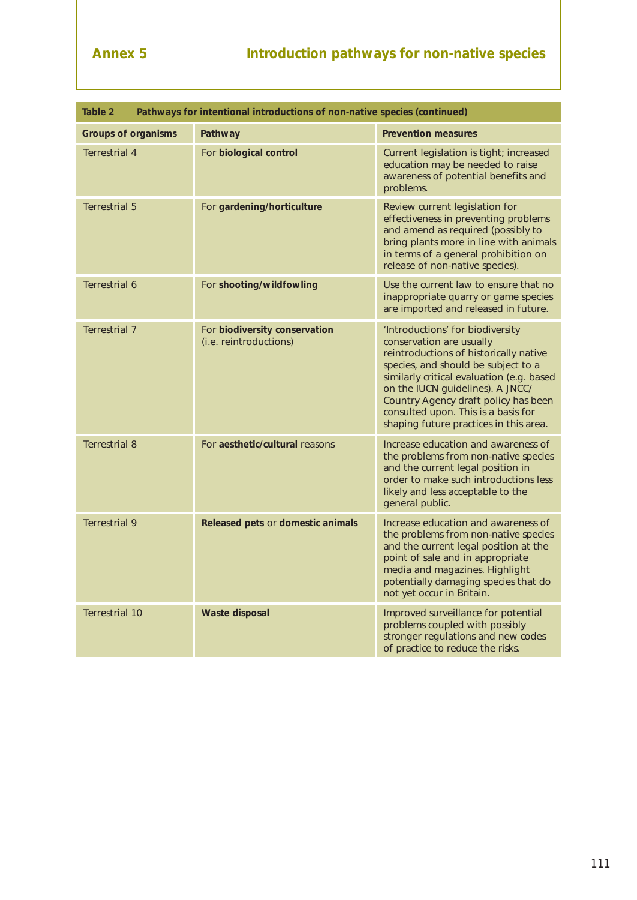| Table 2<br>Pathways for intentional introductions of non-native species (continued) |                                                         |                                                                                                                                                                                                                                                                                                                                                         |  |  |  |  |
|-------------------------------------------------------------------------------------|---------------------------------------------------------|---------------------------------------------------------------------------------------------------------------------------------------------------------------------------------------------------------------------------------------------------------------------------------------------------------------------------------------------------------|--|--|--|--|
| <b>Groups of organisms</b>                                                          | Pathway                                                 | <b>Prevention measures</b>                                                                                                                                                                                                                                                                                                                              |  |  |  |  |
| <b>Terrestrial 4</b>                                                                | For biological control                                  | Current legislation is tight; increased<br>education may be needed to raise<br>awareness of potential benefits and<br>problems.                                                                                                                                                                                                                         |  |  |  |  |
| <b>Terrestrial 5</b>                                                                | For gardening/horticulture                              | Review current legislation for<br>effectiveness in preventing problems<br>and amend as required (possibly to<br>bring plants more in line with animals<br>in terms of a general prohibition on<br>release of non-native species).                                                                                                                       |  |  |  |  |
| Terrestrial 6                                                                       | For shooting/wildfowling                                | Use the current law to ensure that no<br>inappropriate quarry or game species<br>are imported and released in future.                                                                                                                                                                                                                                   |  |  |  |  |
| <b>Terrestrial 7</b>                                                                | For biodiversity conservation<br>(i.e. reintroductions) | 'Introductions' for biodiversity<br>conservation are usually<br>reintroductions of historically native<br>species, and should be subject to a<br>similarly critical evaluation (e.g. based<br>on the IUCN guidelines). A JNCC/<br>Country Agency draft policy has been<br>consulted upon. This is a basis for<br>shaping future practices in this area. |  |  |  |  |
| <b>Terrestrial 8</b>                                                                | For aesthetic/cultural reasons                          | Increase education and awareness of<br>the problems from non-native species<br>and the current legal position in<br>order to make such introductions less<br>likely and less acceptable to the<br>general public.                                                                                                                                       |  |  |  |  |
| <b>Terrestrial 9</b>                                                                | Released pets or domestic animals                       | Increase education and awareness of<br>the problems from non-native species<br>and the current legal position at the<br>point of sale and in appropriate<br>media and magazines. Highlight<br>potentially damaging species that do<br>not yet occur in Britain.                                                                                         |  |  |  |  |
| <b>Terrestrial 10</b>                                                               | <b>Waste disposal</b>                                   | Improved surveillance for potential<br>problems coupled with possibly<br>stronger regulations and new codes<br>of practice to reduce the risks.                                                                                                                                                                                                         |  |  |  |  |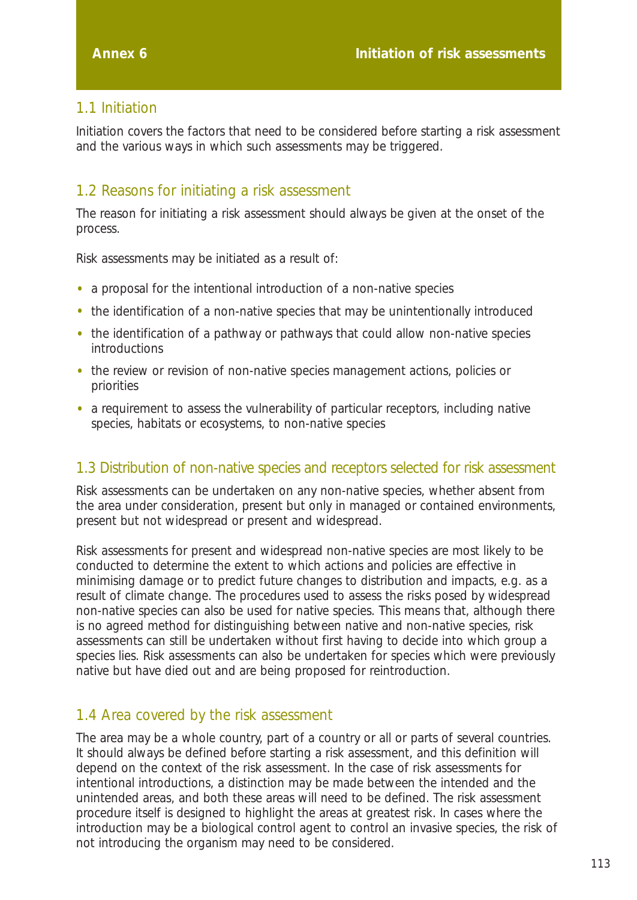# 1.1 Initiation

Initiation covers the factors that need to be considered before starting a risk assessment and the various ways in which such assessments may be triggered.

# 1.2 Reasons for initiating a risk assessment

The reason for initiating a risk assessment should always be given at the onset of the process.

Risk assessments may be initiated as a result of:

- a proposal for the intentional introduction of a non-native species
- the identification of a non-native species that may be unintentionally introduced
- the identification of a pathway or pathways that could allow non-native species introductions
- the review or revision of non-native species management actions, policies or priorities
- a requirement to assess the vulnerability of particular receptors, including native species, habitats or ecosystems, to non-native species

### 1.3 Distribution of non-native species and receptors selected for risk assessment

Risk assessments can be undertaken on any non-native species, whether absent from the area under consideration, present but only in managed or contained environments, present but not widespread or present and widespread.

Risk assessments for present and widespread non-native species are most likely to be conducted to determine the extent to which actions and policies are effective in minimising damage or to predict future changes to distribution and impacts, *e.g.* as a result of climate change. The procedures used to assess the risks posed by widespread non-native species can also be used for native species. This means that, although there is no agreed method for distinguishing between native and non-native species, risk assessments can still be undertaken without first having to decide into which group a species lies. Risk assessments can also be undertaken for species which were previously native but have died out and are being proposed for reintroduction.

# 1.4 Area covered by the risk assessment

The area may be a whole country, part of a country or all or parts of several countries. It should always be defined before starting a risk assessment, and this definition will depend on the context of the risk assessment. In the case of risk assessments for intentional introductions, a distinction may be made between the intended and the unintended areas, and both these areas will need to be defined. The risk assessment procedure itself is designed to highlight the areas at greatest risk. In cases where the introduction may be a biological control agent to control an invasive species, the risk of not introducing the organism may need to be considered.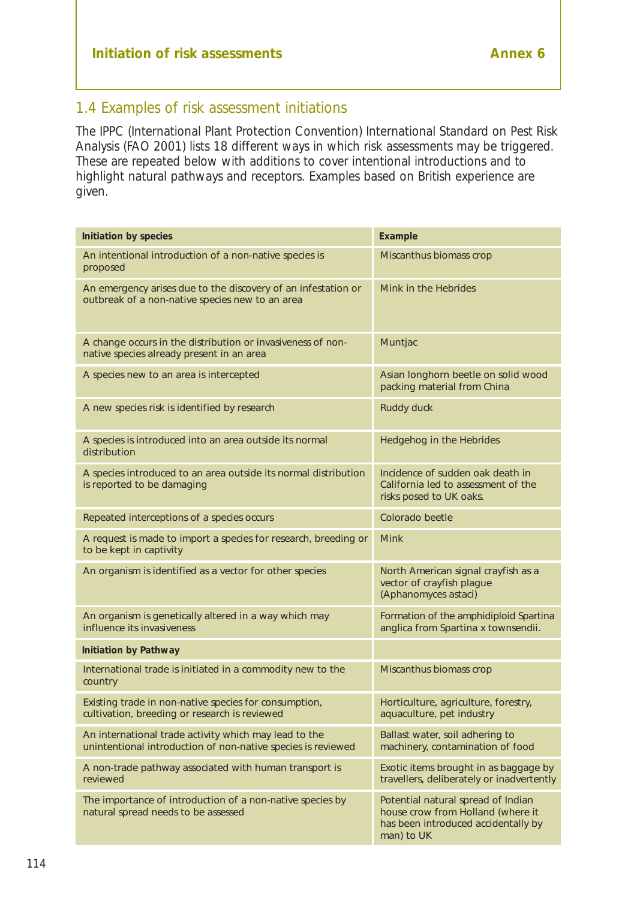# 1.4 Examples of risk assessment initiations

The IPPC (International Plant Protection Convention) International Standard on Pest Risk Analysis (FAO 2001) lists 18 different ways in which risk assessments may be triggered. These are repeated below with additions to cover intentional introductions and to highlight natural pathways and receptors. Examples based on British experience are given.

| <b>Initiation by species</b>                                                                                          | <b>Example</b>                                                                                                               |
|-----------------------------------------------------------------------------------------------------------------------|------------------------------------------------------------------------------------------------------------------------------|
| An intentional introduction of a non-native species is<br>proposed                                                    | Miscanthus biomass crop                                                                                                      |
| An emergency arises due to the discovery of an infestation or<br>outbreak of a non-native species new to an area      | Mink in the Hebrides                                                                                                         |
| A change occurs in the distribution or invasiveness of non-<br>native species already present in an area              | Muntjac                                                                                                                      |
| A species new to an area is intercepted                                                                               | Asian longhorn beetle on solid wood<br>packing material from China                                                           |
| A new species risk is identified by research                                                                          | Ruddy duck                                                                                                                   |
| A species is introduced into an area outside its normal<br>distribution                                               | Hedgehog in the Hebrides                                                                                                     |
| A species introduced to an area outside its normal distribution<br>is reported to be damaging                         | Incidence of sudden oak death in<br>California led to assessment of the<br>risks posed to UK oaks.                           |
| Repeated interceptions of a species occurs                                                                            | Colorado beetle                                                                                                              |
| A request is made to import a species for research, breeding or<br>to be kept in captivity                            | <b>Mink</b>                                                                                                                  |
| An organism is identified as a vector for other species                                                               | North American signal crayfish as a<br>vector of crayfish plague<br>(Aphanomyces astaci)                                     |
| An organism is genetically altered in a way which may<br>influence its invasiveness                                   | Formation of the amphidiploid Spartina<br>anglica from Spartina x townsendii.                                                |
| <b>Initiation by Pathway</b>                                                                                          |                                                                                                                              |
| International trade is initiated in a commodity new to the<br>country                                                 | Miscanthus biomass crop                                                                                                      |
| Existing trade in non-native species for consumption,<br>cultivation, breeding or research is reviewed                | Horticulture, agriculture, forestry,<br>aquaculture, pet industry                                                            |
| An international trade activity which may lead to the<br>unintentional introduction of non-native species is reviewed | Ballast water, soil adhering to<br>machinery, contamination of food                                                          |
| A non-trade pathway associated with human transport is<br>reviewed                                                    | Exotic items brought in as baggage by<br>travellers, deliberately or inadvertently                                           |
| The importance of introduction of a non-native species by<br>natural spread needs to be assessed                      | Potential natural spread of Indian<br>house crow from Holland (where it<br>has been introduced accidentally by<br>man) to UK |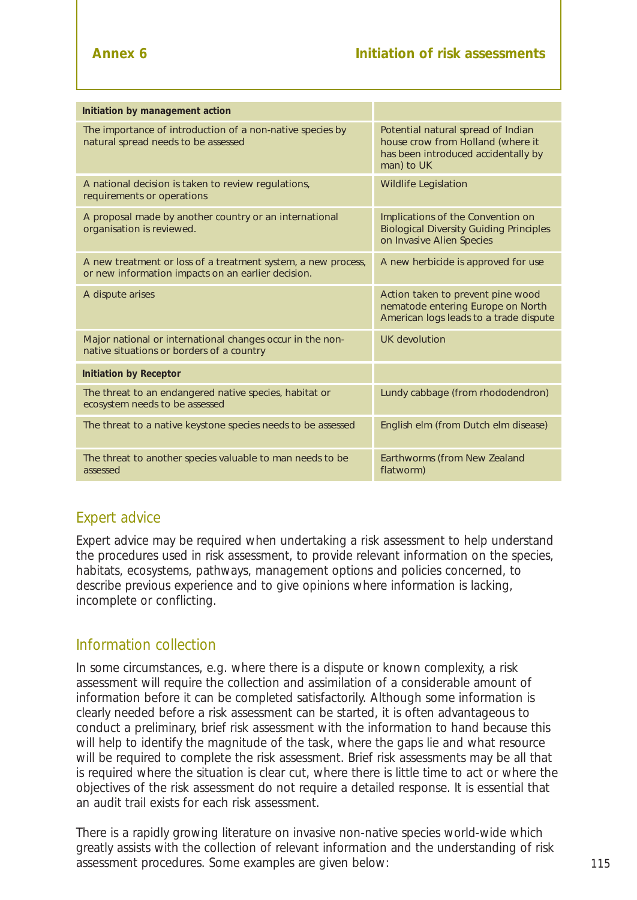| Initiation by management action                                                                                     |                                                                                                                              |  |  |  |
|---------------------------------------------------------------------------------------------------------------------|------------------------------------------------------------------------------------------------------------------------------|--|--|--|
| The importance of introduction of a non-native species by<br>natural spread needs to be assessed                    | Potential natural spread of Indian<br>house crow from Holland (where it<br>has been introduced accidentally by<br>man) to UK |  |  |  |
| A national decision is taken to review regulations,<br>requirements or operations                                   | <b>Wildlife Legislation</b>                                                                                                  |  |  |  |
| A proposal made by another country or an international<br>organisation is reviewed.                                 | Implications of the Convention on<br><b>Biological Diversity Guiding Principles</b><br>on Invasive Alien Species             |  |  |  |
| A new treatment or loss of a treatment system, a new process,<br>or new information impacts on an earlier decision. | A new herbicide is approved for use                                                                                          |  |  |  |
| A dispute arises                                                                                                    | Action taken to prevent pine wood<br>nematode entering Europe on North<br>American logs leads to a trade dispute             |  |  |  |
| Major national or international changes occur in the non-<br>native situations or borders of a country              | UK devolution                                                                                                                |  |  |  |
| <b>Initiation by Receptor</b>                                                                                       |                                                                                                                              |  |  |  |
| The threat to an endangered native species, habitat or<br>ecosystem needs to be assessed                            | Lundy cabbage (from rhododendron)                                                                                            |  |  |  |
| The threat to a native keystone species needs to be assessed                                                        | English elm (from Dutch elm disease)                                                                                         |  |  |  |
| The threat to another species valuable to man needs to be<br>assessed                                               | Earthworms (from New Zealand<br>flatworm)                                                                                    |  |  |  |

# Expert advice

Expert advice may be required when undertaking a risk assessment to help understand the procedures used in risk assessment, to provide relevant information on the species, habitats, ecosystems, pathways, management options and policies concerned, to describe previous experience and to give opinions where information is lacking, incomplete or conflicting.

### Information collection

In some circumstances, *e.g.* where there is a dispute or known complexity, a risk assessment will require the collection and assimilation of a considerable amount of information before it can be completed satisfactorily. Although some information is clearly needed before a risk assessment can be started, it is often advantageous to conduct a preliminary, brief risk assessment with the information to hand because this will help to identify the magnitude of the task, where the gaps lie and what resource will be required to complete the risk assessment. Brief risk assessments may be all that is required where the situation is clear cut, where there is little time to act or where the objectives of the risk assessment do not require a detailed response. It is essential that an audit trail exists for each risk assessment.

There is a rapidly growing literature on invasive non-native species world-wide which greatly assists with the collection of relevant information and the understanding of risk assessment procedures. Some examples are given below: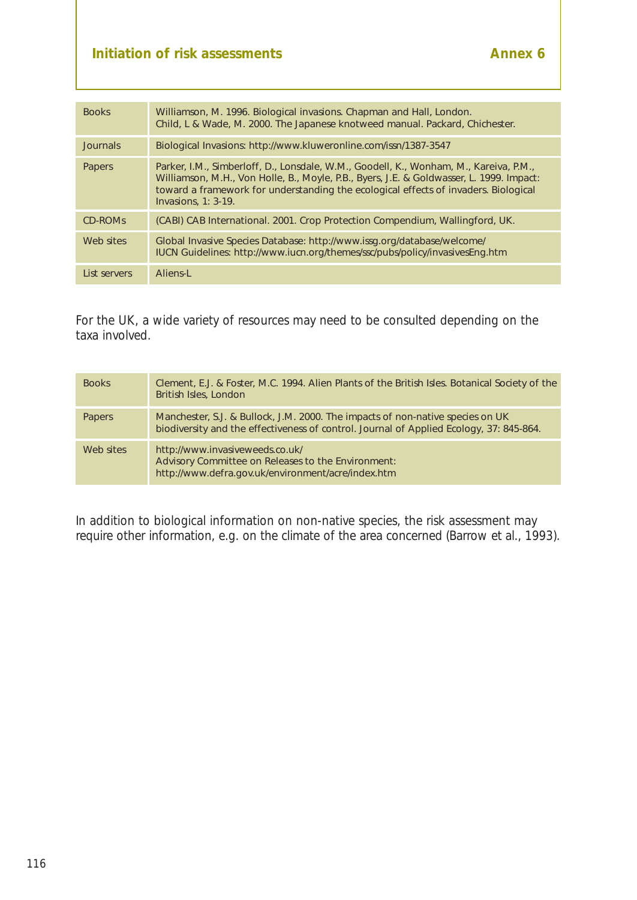| <b>Books</b>        | Williamson, M. 1996. <i>Biological invasions</i> . Chapman and Hall, London.<br>Child, L & Wade, M. 2000. The Japanese knotweed manual. Packard, Chichester.                                                                                                                                      |
|---------------------|---------------------------------------------------------------------------------------------------------------------------------------------------------------------------------------------------------------------------------------------------------------------------------------------------|
| Journals            | Biological Invasions: http://www.kluweronline.com/issn/1387-3547                                                                                                                                                                                                                                  |
| Papers              | Parker, I.M., Simberloff, D., Lonsdale, W.M., Goodell, K., Wonham, M., Kareiva, P.M.,<br>Williamson, M.H., Von Holle, B., Moyle, P.B., Byers, J.E. & Goldwasser, L. 1999. Impact:<br>toward a framework for understanding the ecological effects of invaders. Biological<br>$Invasions, 1: 3-19.$ |
| CD-ROM <sub>S</sub> | (CABI) CAB International. 2001. Crop Protection Compendium, Wallingford, UK.                                                                                                                                                                                                                      |
| Web sites           | Global Invasive Species Database: http://www.issg.org/database/welcome/<br>IUCN Guidelines: http://www.iucn.org/themes/ssc/pubs/policy/invasivesEng.htm                                                                                                                                           |
| List servers        | Aliens-L                                                                                                                                                                                                                                                                                          |

For the UK, a wide variety of resources may need to be consulted depending on the taxa involved.

| <b>Books</b>  | Clement, E.J. & Foster, M.C. 1994. Alien Plants of the British Isles. Botanical Society of the<br>British Isles, London                                                   |
|---------------|---------------------------------------------------------------------------------------------------------------------------------------------------------------------------|
| <b>Papers</b> | Manchester, S.J. & Bullock, J.M. 2000. The impacts of non-native species on UK<br>biodiversity and the effectiveness of control. Journal of Applied Ecology, 37: 845-864. |
| Web sites     | http://www.invasiveweeds.co.uk/<br>Advisory Committee on Releases to the Environment:<br>http://www.defra.gov.uk/environment/acre/index.htm                               |

In addition to biological information on non-native species, the risk assessment may require other information, *e.g.* on the climate of the area concerned (Barrow *et al*., 1993).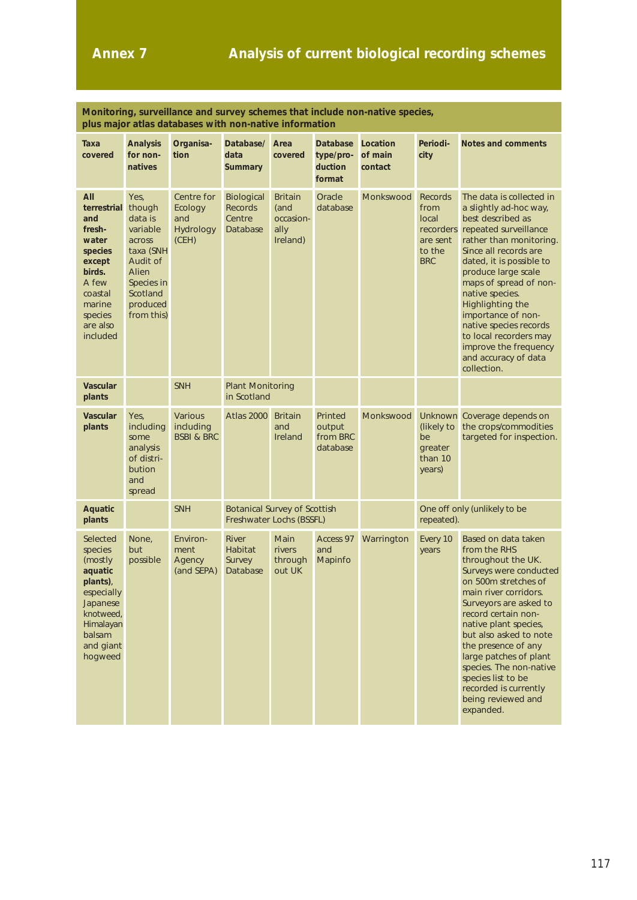| Monitoring, surveillance and survey schemes that include non-native species,<br>plus major atlas databases with non-native information       |                                                                                                                                       |                                                      |                                                                 |                                                         |                                                   |                                |                                                                                  |                                                                                                                                                                                                                                                                                                                                                                                                                    |
|----------------------------------------------------------------------------------------------------------------------------------------------|---------------------------------------------------------------------------------------------------------------------------------------|------------------------------------------------------|-----------------------------------------------------------------|---------------------------------------------------------|---------------------------------------------------|--------------------------------|----------------------------------------------------------------------------------|--------------------------------------------------------------------------------------------------------------------------------------------------------------------------------------------------------------------------------------------------------------------------------------------------------------------------------------------------------------------------------------------------------------------|
| Таха<br>covered                                                                                                                              | <b>Analysis</b><br>for non-<br>natives                                                                                                | Organisa-<br>tion                                    | Database/<br>data<br><b>Summary</b>                             | Area<br>covered                                         | <b>Database</b><br>type/pro-<br>duction<br>format | Location<br>of main<br>contact | Periodi-<br>city                                                                 | <b>Notes and comments</b>                                                                                                                                                                                                                                                                                                                                                                                          |
| All<br>terrestrial<br>and<br>fresh-<br>water<br>species<br>except<br>birds.<br>A few<br>coastal<br>marine<br>species<br>are also<br>included | Yes,<br>though<br>data is<br>variable<br>across<br>taxa (SNH<br>Audit of<br>Alien<br>Species in<br>Scotland<br>produced<br>from this) | Centre for<br>Ecology<br>and<br>Hydrology<br>(CEH)   | <b>Biological</b><br><b>Records</b><br>Centre<br>Database       | <b>Britain</b><br>(and<br>occasion-<br>ally<br>Ireland) | Oracle<br>database                                | Monkswood                      | <b>Records</b><br>from<br>local<br>recorders<br>are sent<br>to the<br><b>BRC</b> | The data is collected in<br>a slightly ad-hoc way,<br>best described as<br>repeated surveillance<br>rather than monitoring.<br>Since all records are<br>dated, it is possible to<br>produce large scale<br>maps of spread of non-<br>native species.<br>Highlighting the<br>importance of non-<br>native species records<br>to local recorders may<br>improve the frequency<br>and accuracy of data<br>collection. |
| <b>Vascular</b><br>plants                                                                                                                    |                                                                                                                                       | <b>SNH</b>                                           |                                                                 | <b>Plant Monitoring</b><br>in Scotland                  |                                                   |                                |                                                                                  |                                                                                                                                                                                                                                                                                                                                                                                                                    |
| <b>Vascular</b><br>plants                                                                                                                    | Yes,<br>including<br>some<br>analysis<br>of distri-<br>bution<br>and<br>spread                                                        | <b>Various</b><br>including<br><b>BSBI &amp; BRC</b> | Atlas 2000                                                      | <b>Britain</b><br>and<br>Ireland                        | Printed<br>output<br>from BRC<br>database         | Monkswood                      | (likely to<br>be<br>greater<br>than 10<br>years)                                 | Unknown Coverage depends on<br>the crops/commodities<br>targeted for inspection.                                                                                                                                                                                                                                                                                                                                   |
| Aquatic<br>plants                                                                                                                            |                                                                                                                                       | <b>SNH</b>                                           | <b>Botanical Survey of Scottish</b><br>Freshwater Lochs (BSSFL) |                                                         |                                                   |                                | One off only (unlikely to be<br>repeated).                                       |                                                                                                                                                                                                                                                                                                                                                                                                                    |
| Selected<br>species<br>(mostly)<br>aquatic<br>plants),<br>especially<br>Japanese<br>knotweed,<br>Himalayan<br>balsam<br>and giant<br>hogweed | None,<br>but<br>possible                                                                                                              | Environ-<br>ment<br>Agency<br>(and SEPA)             | <b>River</b><br>Habitat<br>Survey<br>Database                   | Main<br>rivers<br>through<br>out UK                     | Access 97<br>and<br>Mapinfo                       | Warrington                     | Every 10<br>years                                                                | Based on data taken<br>from the RHS<br>throughout the UK.<br>Surveys were conducted<br>on 500m stretches of<br>main river corridors.<br>Surveyors are asked to<br>record certain non-<br>native plant species,<br>but also asked to note<br>the presence of any<br>large patches of plant<br>species. The non-native<br>species list to be<br>recorded is currently<br>being reviewed and<br>expanded.             |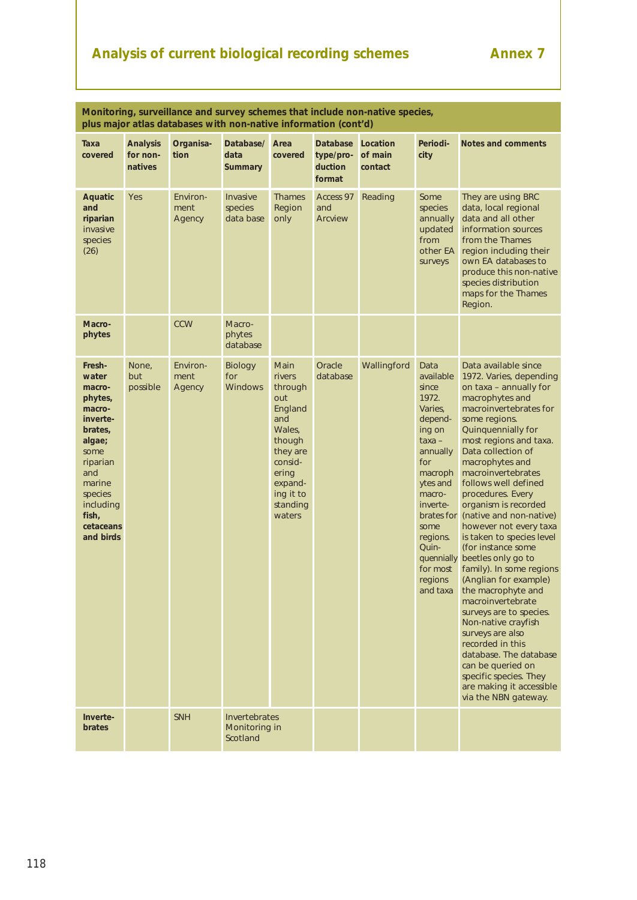# Analysis of current biological recording schemes **Annex 7**

| Monitoring, surveillance and survey schemes that include non-native species,<br>plus major atlas databases with non-native information (cont'd)                                 |                                        |                            |                                                   |                                                                                                                                                      |                                                   |                                |                                                                                                                                                                                                                                 |                                                                                                                                                                                                                                                                                                                                                                                                                                                                                                                                                                                                                                                                                                                                                                                           |
|---------------------------------------------------------------------------------------------------------------------------------------------------------------------------------|----------------------------------------|----------------------------|---------------------------------------------------|------------------------------------------------------------------------------------------------------------------------------------------------------|---------------------------------------------------|--------------------------------|---------------------------------------------------------------------------------------------------------------------------------------------------------------------------------------------------------------------------------|-------------------------------------------------------------------------------------------------------------------------------------------------------------------------------------------------------------------------------------------------------------------------------------------------------------------------------------------------------------------------------------------------------------------------------------------------------------------------------------------------------------------------------------------------------------------------------------------------------------------------------------------------------------------------------------------------------------------------------------------------------------------------------------------|
| Taxa<br>covered                                                                                                                                                                 | <b>Analysis</b><br>for non-<br>natives | Organisa-<br>tion          | Database/<br>data<br><b>Summary</b>               | Area<br>covered                                                                                                                                      | <b>Database</b><br>type/pro-<br>duction<br>format | Location<br>of main<br>contact | Periodi-<br>city                                                                                                                                                                                                                | <b>Notes and comments</b>                                                                                                                                                                                                                                                                                                                                                                                                                                                                                                                                                                                                                                                                                                                                                                 |
| <b>Aquatic</b><br>and<br>riparian<br>invasive<br>species<br>(26)                                                                                                                | Yes                                    | Environ-<br>ment<br>Agency | Invasive<br>species<br>data base                  | <b>Thames</b><br>Region<br>only                                                                                                                      | Access 97<br>and<br><b>Arcview</b>                | Reading                        | Some<br>species<br>annually<br>updated<br>from<br>other EA<br>surveys                                                                                                                                                           | They are using BRC<br>data, local regional<br>data and all other<br>information sources<br>from the Thames<br>region including their<br>own EA databases to<br>produce this non-native<br>species distribution<br>maps for the Thames<br>Region.                                                                                                                                                                                                                                                                                                                                                                                                                                                                                                                                          |
| Macro-<br>phytes                                                                                                                                                                |                                        | <b>CCW</b>                 | Macro-<br>phytes<br>database                      |                                                                                                                                                      |                                                   |                                |                                                                                                                                                                                                                                 |                                                                                                                                                                                                                                                                                                                                                                                                                                                                                                                                                                                                                                                                                                                                                                                           |
| Fresh-<br>water<br>macro-<br>phytes,<br>macro-<br>inverte-<br>brates,<br>algae;<br>some<br>riparian<br>and<br>marine<br>species<br>including<br>fish,<br>cetaceans<br>and birds | None,<br>but<br>possible               | Environ-<br>ment<br>Agency | <b>Biology</b><br>for<br><b>Windows</b>           | Main<br>rivers<br>through<br>out<br>England<br>and<br>Wales,<br>though<br>they are<br>consid-<br>ering<br>expand-<br>ing it to<br>standing<br>waters | Oracle<br>database                                | Wallingford                    | Data<br>available<br>since<br>1972.<br>Varies,<br>depend-<br>ing on<br>$taxa -$<br>annually<br>for<br>macroph<br>ytes and<br>macro-<br>inverte-<br>brates for<br>some<br>regions.<br>Quin-<br>quennially<br>for most<br>regions | Data available since<br>1972. Varies, depending<br>on taxa - annually for<br>macrophytes and<br>macroinvertebrates for<br>some regions.<br>Quinquennially for<br>most regions and taxa.<br>Data collection of<br>macrophytes and<br>macroinvertebrates<br>follows well defined<br>procedures. Every<br>organism is recorded<br>(native and non-native)<br>however not every taxa<br>is taken to species level<br>(for instance some<br>beetles only go to<br>family). In some regions<br>(Anglian for example)<br>and taxa the macrophyte and<br>macroinvertebrate<br>surveys are to species.<br>Non-native crayfish<br>surveys are also<br>recorded in this<br>database. The database<br>can be queried on<br>specific species. They<br>are making it accessible<br>via the NBN gateway. |
| Inverte-<br>brates                                                                                                                                                              |                                        | <b>SNH</b>                 | <b>Invertebrates</b><br>Monitoring in<br>Scotland |                                                                                                                                                      |                                                   |                                |                                                                                                                                                                                                                                 |                                                                                                                                                                                                                                                                                                                                                                                                                                                                                                                                                                                                                                                                                                                                                                                           |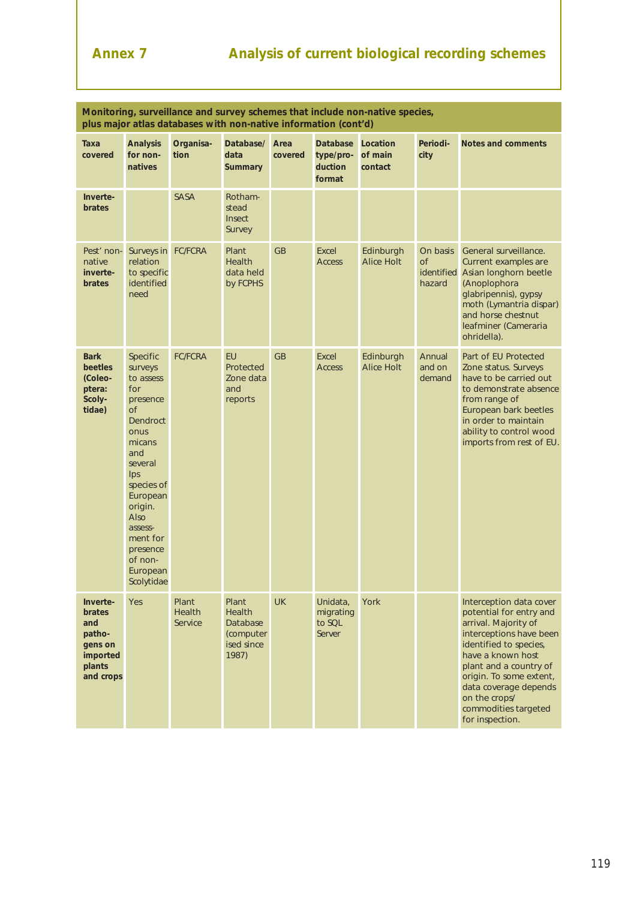| Monitoring, surveillance and survey schemes that include non-native species,<br>plus major atlas databases with non-native information (cont'd) |                                                                                                                                                                                                                                                     |                                   |                                                                 |                 |                                                   |                                |                                 |                                                                                                                                                                                                                                                                                                |
|-------------------------------------------------------------------------------------------------------------------------------------------------|-----------------------------------------------------------------------------------------------------------------------------------------------------------------------------------------------------------------------------------------------------|-----------------------------------|-----------------------------------------------------------------|-----------------|---------------------------------------------------|--------------------------------|---------------------------------|------------------------------------------------------------------------------------------------------------------------------------------------------------------------------------------------------------------------------------------------------------------------------------------------|
| Taxa<br>covered                                                                                                                                 | <b>Analysis</b><br>for non-<br>natives                                                                                                                                                                                                              | Organisa-<br>tion                 | Database/<br>data<br><b>Summary</b>                             | Area<br>covered | <b>Database</b><br>type/pro-<br>duction<br>format | Location<br>of main<br>contact | Periodi-<br>city                | Notes and comments                                                                                                                                                                                                                                                                             |
| Inverte-<br><b>brates</b>                                                                                                                       |                                                                                                                                                                                                                                                     | <b>SASA</b>                       | Rotham-<br>stead<br>Insect<br>Survey                            |                 |                                                   |                                |                                 |                                                                                                                                                                                                                                                                                                |
| Pest' non-<br>native<br>inverte-<br><b>brates</b>                                                                                               | Surveys in FC/FCRA<br>relation<br>to specific<br>identified<br>need                                                                                                                                                                                 |                                   | Plant<br>Health<br>data held<br>by FCPHS                        | <b>GB</b>       | Excel<br><b>Access</b>                            | Edinburgh<br><b>Alice Holt</b> | On basis<br><b>of</b><br>hazard | General surveillance.<br>Current examples are<br>identified Asian longhorn beetle<br>(Anoplophora<br>glabripennis), gypsy<br>moth (Lymantria dispar)<br>and horse chestnut<br>leafminer (Cameraria<br>ohridella).                                                                              |
| <b>Bark</b><br>beetles<br>(Coleo-<br>ptera:<br>Scoly-<br>tidae)                                                                                 | Specific<br>surveys<br>to assess<br>for<br>presence<br><b>of</b><br><b>Dendroct</b><br>onus<br>micans<br>and<br>several<br>Ips<br>species of<br>European<br>origin.<br>Also<br>assess-<br>ment for<br>presence<br>of non-<br>European<br>Scolytidae | <b>FC/FCRA</b>                    | EU<br>Protected<br>Zone data<br>and<br>reports                  | <b>GB</b>       | Excel<br><b>Access</b>                            | Edinburgh<br><b>Alice Holt</b> | Annual<br>and on<br>demand      | Part of EU Protected<br>Zone status. Surveys<br>have to be carried out<br>to demonstrate absence<br>from range of<br>European bark beetles<br>in order to maintain<br>ability to control wood<br>imports from rest of EU.                                                                      |
| Inverte-<br>brates<br>and<br>patho-<br>gens on<br>imported<br>plants<br>and crops                                                               | Yes                                                                                                                                                                                                                                                 | Plant<br><b>Health</b><br>Service | Plant<br>Health<br>Database<br>(computer<br>ised since<br>1987) | <b>UK</b>       | Unidata,<br>migrating<br>to SQL<br>Server         | <b>York</b>                    |                                 | Interception data cover<br>potential for entry and<br>arrival. Majority of<br>interceptions have been<br>identified to species,<br>have a known host<br>plant and a country of<br>origin. To some extent,<br>data coverage depends<br>on the crops/<br>commodities targeted<br>for inspection. |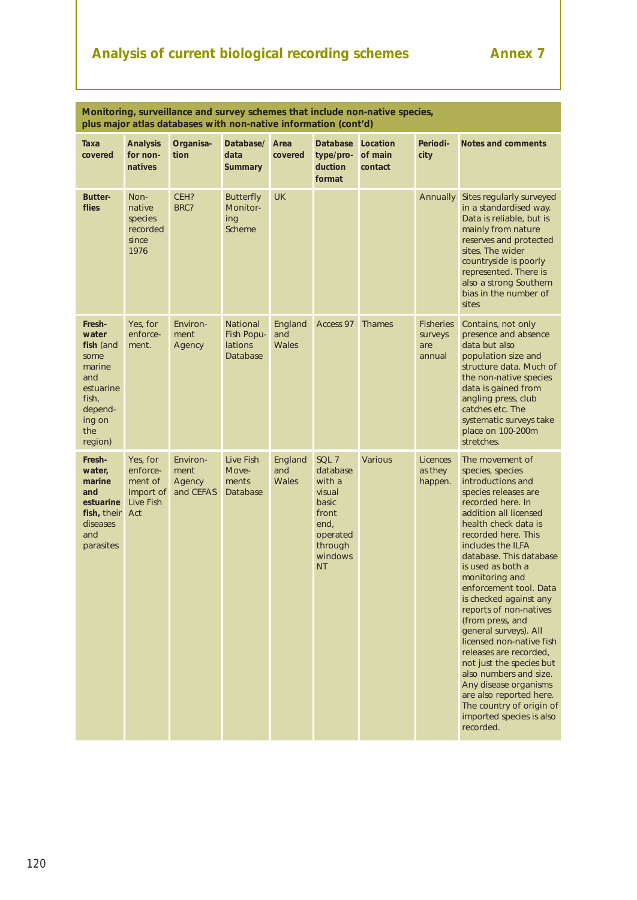# Analysis of current biological recording schemes **Annex 7**

|                                                                                                                    | Monitoring, surveillance and survey schemes that include non-native species,<br>plus major atlas databases with non-native information (cont'd) |                                         |                                               |                                |                                                                                                                |                                |                                              |                                                                                                                                                                                                                                                                                                                                                                                                                                                                                                                                                                                                                                      |
|--------------------------------------------------------------------------------------------------------------------|-------------------------------------------------------------------------------------------------------------------------------------------------|-----------------------------------------|-----------------------------------------------|--------------------------------|----------------------------------------------------------------------------------------------------------------|--------------------------------|----------------------------------------------|--------------------------------------------------------------------------------------------------------------------------------------------------------------------------------------------------------------------------------------------------------------------------------------------------------------------------------------------------------------------------------------------------------------------------------------------------------------------------------------------------------------------------------------------------------------------------------------------------------------------------------------|
| Taxa<br>covered                                                                                                    | <b>Analysis</b><br>for non-<br>natives                                                                                                          | Organisa-<br>tion                       | Database/<br>data<br><b>Summary</b>           | Area<br>covered                | <b>Database</b><br>type/pro-<br>duction<br>format                                                              | Location<br>of main<br>contact | Periodi-<br>city                             | Notes and comments                                                                                                                                                                                                                                                                                                                                                                                                                                                                                                                                                                                                                   |
| <b>Butter-</b><br>flies                                                                                            | Non-<br>native<br>species<br>recorded<br>since<br>1976                                                                                          | CEH?<br>BRC?                            | <b>Butterfly</b><br>Monitor-<br>ing<br>Scheme | <b>UK</b>                      |                                                                                                                |                                | <b>Annually</b>                              | Sites regularly surveyed<br>in a standardised way.<br>Data is reliable, but is<br>mainly from nature<br>reserves and protected<br>sites. The wider<br>countryside is poorly<br>represented. There is<br>also a strong Southern<br>bias in the number of<br>sites                                                                                                                                                                                                                                                                                                                                                                     |
| Fresh-<br>water<br>fish (and<br>some<br>marine<br>and<br>estuarine<br>fish,<br>depend-<br>ing on<br>the<br>region) | Yes, for<br>enforce-<br>ment.                                                                                                                   | Environ-<br>ment<br>Agency              | National<br>Fish Popu-<br>lations<br>Database | England<br>and<br>Wales        | Access 97                                                                                                      | <b>Thames</b>                  | <b>Fisheries</b><br>surveys<br>are<br>annual | Contains, not only<br>presence and absence<br>data but also<br>population size and<br>structure data. Much of<br>the non-native species<br>data is gained from<br>angling press, club<br>catches etc. The<br>systematic surveys take<br>place on 100-200m<br>stretches.                                                                                                                                                                                                                                                                                                                                                              |
| Fresh-<br>water,<br>marine<br>and<br>estuarine<br>fish, their<br>diseases<br>and<br>parasites                      | Yes, for<br>enforce-<br>ment of<br>Import of<br><b>Live Fish</b><br>Act                                                                         | Environ-<br>ment<br>Agency<br>and CEFAS | Live Fish<br>Move-<br>ments<br>Database       | England<br>and<br><b>Wales</b> | SQL 7<br>database<br>with a<br>visual<br>basic<br>front<br>end,<br>operated<br>through<br>windows<br><b>NT</b> | <b>Various</b>                 | <b>Licences</b><br>as they<br>happen.        | The movement of<br>species, species<br>introductions and<br>species releases are<br>recorded here. In<br>addition all licensed<br>health check data is<br>recorded here. This<br>includes the ILFA<br>database. This database<br>is used as both a<br>monitoring and<br>enforcement tool. Data<br>is checked against any<br>reports of non-natives<br>(from press, and<br>general surveys). All<br>licensed non-native fish<br>releases are recorded,<br>not just the species but<br>also numbers and size.<br>Any disease organisms<br>are also reported here.<br>The country of origin of<br>imported species is also<br>recorded. |

120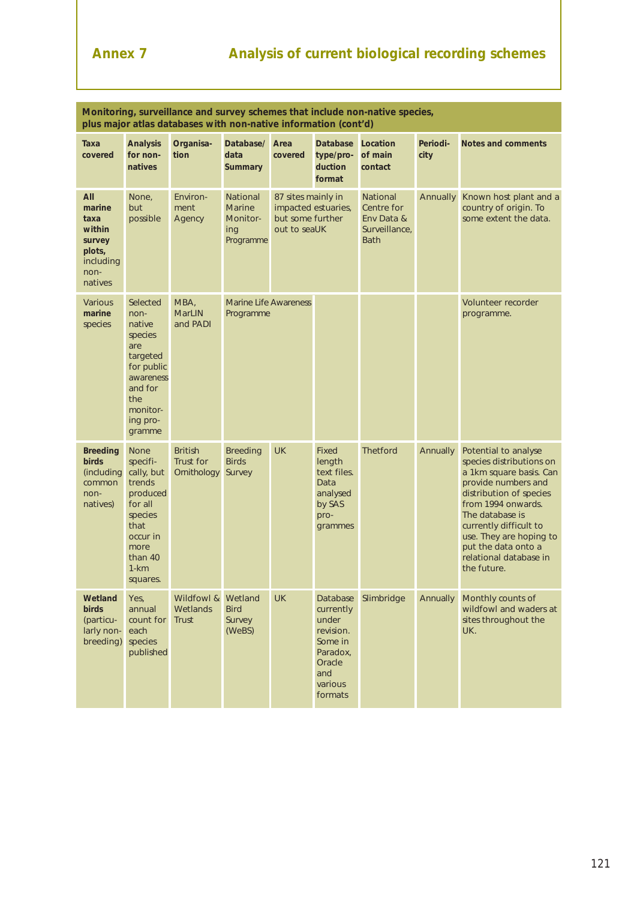# **Annex 7 Analysis of current biological recording schemes**

| Monitoring, surveillance and survey schemes that include non-native species,<br>plus major atlas databases with non-native information (cont'd) |                                                                                                                                              |                                            |                                                                  |                                                        |                                                                                                           |                                                                             |                  |                                                                                                                                                                                                                                                                                             |
|-------------------------------------------------------------------------------------------------------------------------------------------------|----------------------------------------------------------------------------------------------------------------------------------------------|--------------------------------------------|------------------------------------------------------------------|--------------------------------------------------------|-----------------------------------------------------------------------------------------------------------|-----------------------------------------------------------------------------|------------------|---------------------------------------------------------------------------------------------------------------------------------------------------------------------------------------------------------------------------------------------------------------------------------------------|
| Taxa<br>covered                                                                                                                                 | <b>Analysis</b><br>for non-<br>natives                                                                                                       | Organisa-<br>tion                          | Database/<br>data<br><b>Summary</b>                              | Area<br>covered                                        | <b>Database</b><br>type/pro-<br>duction<br>format                                                         | Location<br>of main<br>contact                                              | Periodi-<br>city | Notes and comments                                                                                                                                                                                                                                                                          |
| All<br>marine<br>taxa<br>within<br>survey<br>plots,<br>including<br>non-<br>natives                                                             | None,<br>but<br>possible                                                                                                                     | Environ-<br>ment<br>Agency                 | <b>National</b><br><b>Marine</b><br>Monitor-<br>ing<br>Programme | 87 sites mainly in<br>but some further<br>out to seaUK | impacted estuaries,                                                                                       | <b>National</b><br>Centre for<br>Env Data &<br>Surveillance,<br><b>Bath</b> | <b>Annually</b>  | Known host plant and a<br>country of origin. To<br>some extent the data.                                                                                                                                                                                                                    |
| <b>Various</b><br>marine<br>species                                                                                                             | Selected<br>non-<br>native<br>species<br>are<br>targeted<br>for public<br>awareness<br>and for<br>the<br>monitor-<br>ing pro-<br>gramme      | MBA,<br><b>MarLIN</b><br>and PADI          | <b>Marine Life Awareness</b><br>Programme                        |                                                        |                                                                                                           |                                                                             |                  | Volunteer recorder<br>programme.                                                                                                                                                                                                                                                            |
| <b>Breeding</b><br><b>birds</b><br>(including<br>common<br>non-<br>natives)                                                                     | <b>None</b><br>specifi-<br>cally, but<br>trends<br>produced<br>for all<br>species<br>that<br>occur in<br>more<br>than 40<br>1-km<br>squares. | <b>British</b><br>Trust for<br>Ornithology | <b>Breeding</b><br><b>Birds</b><br>Survey                        | <b>UK</b>                                              | <b>Fixed</b><br>length<br>text files.<br>Data<br>analysed<br>by SAS<br>pro-<br>grammes                    | <b>Thetford</b>                                                             | Annually         | Potential to analyse<br>species distributions on<br>a 1km square basis. Can<br>provide numbers and<br>distribution of species<br>from 1994 onwards.<br>The database is<br>currently difficult to<br>use. They are hoping to<br>put the data onto a<br>relational database in<br>the future. |
| Wetland<br>birds<br>(particu-<br>larly non-<br>breeding)                                                                                        | Yes,<br>annual<br>count for<br>each<br>species<br>published                                                                                  | Wildfowl &<br>Wetlands<br><b>Trust</b>     | Wetland<br><b>Bird</b><br>Survey<br>(WeBS)                       | <b>UK</b>                                              | Database<br>currently<br>under<br>revision.<br>Some in<br>Paradox,<br>Oracle<br>and<br>various<br>formats | Slimbridge                                                                  | Annually         | Monthly counts of<br>wildfowl and waders at<br>sites throughout the<br>UK.                                                                                                                                                                                                                  |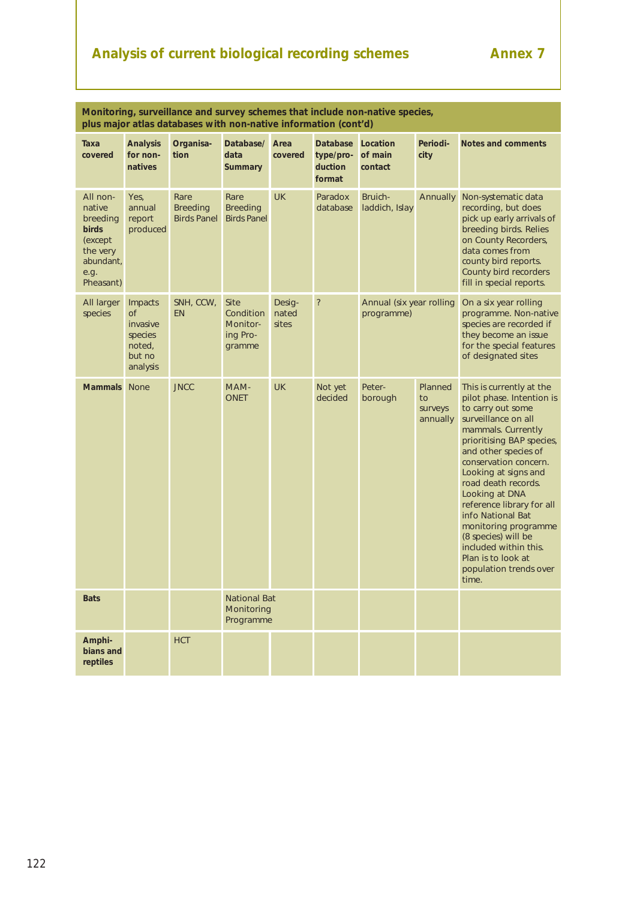# Analysis of current biological recording schemes **Annex 7**

| Monitoring, surveillance and survey schemes that include non-native species,<br>plus major atlas databases with non-native information (cont'd) |                                                                             |                                               |                                                            |                          |                                                   |                                        |                                      |                                                                                                                                                                                                                                                                                                                                                                                                                                                           |
|-------------------------------------------------------------------------------------------------------------------------------------------------|-----------------------------------------------------------------------------|-----------------------------------------------|------------------------------------------------------------|--------------------------|---------------------------------------------------|----------------------------------------|--------------------------------------|-----------------------------------------------------------------------------------------------------------------------------------------------------------------------------------------------------------------------------------------------------------------------------------------------------------------------------------------------------------------------------------------------------------------------------------------------------------|
| Taxa<br>covered                                                                                                                                 | <b>Analysis</b><br>for non-<br>natives                                      | Organisa-<br>tion                             | Database/<br>data<br><b>Summary</b>                        | Area<br>covered          | <b>Database</b><br>type/pro-<br>duction<br>format | Location<br>of main<br>contact         | Periodi-<br>city                     | Notes and comments                                                                                                                                                                                                                                                                                                                                                                                                                                        |
| All non-<br>native<br>breeding<br><b>birds</b><br>(except)<br>the very<br>abundant,<br>e.g.<br>Pheasant)                                        | Yes,<br>annual<br>report<br>produced                                        | Rare<br><b>Breeding</b><br><b>Birds Panel</b> | Rare<br><b>Breeding</b><br><b>Birds Panel</b>              | <b>UK</b>                | Paradox<br>database                               | Bruich-<br>laddich, Islay              | Annually                             | Non-systematic data<br>recording, but does<br>pick up early arrivals of<br>breeding birds. Relies<br>on County Recorders,<br>data comes from<br>county bird reports.<br>County bird recorders<br>fill in special reports.                                                                                                                                                                                                                                 |
| All larger<br>species                                                                                                                           | Impacts<br><b>of</b><br>invasive<br>species<br>noted,<br>but no<br>analysis | SNH, CCW,<br><b>EN</b>                        | <b>Site</b><br>Condition<br>Monitor-<br>ing Pro-<br>gramme | Desig-<br>nated<br>sites | $\overline{\cdot}$                                | Annual (six year rolling<br>programme) |                                      | On a six year rolling<br>programme. Non-native<br>species are recorded if<br>they become an issue<br>for the special features<br>of designated sites                                                                                                                                                                                                                                                                                                      |
| <b>Mammals</b>                                                                                                                                  | <b>None</b>                                                                 | <b>JNCC</b>                                   | MAM-<br><b>ONET</b>                                        | <b>UK</b>                | Not yet<br>decided                                | Peter-<br>borough                      | Planned<br>to<br>surveys<br>annually | This is currently at the<br>pilot phase. Intention is<br>to carry out some<br>surveillance on all<br>mammals. Currently<br>prioritising BAP species,<br>and other species of<br>conservation concern.<br>Looking at signs and<br>road death records.<br>Looking at DNA<br>reference library for all<br>info National Bat<br>monitoring programme<br>(8 species) will be<br>included within this.<br>Plan is to look at<br>population trends over<br>time. |
| <b>Bats</b>                                                                                                                                     |                                                                             |                                               | <b>National Bat</b><br>Monitoring<br>Programme             |                          |                                                   |                                        |                                      |                                                                                                                                                                                                                                                                                                                                                                                                                                                           |
| Amphi-<br>bians and<br>reptiles                                                                                                                 |                                                                             | <b>HCT</b>                                    |                                                            |                          |                                                   |                                        |                                      |                                                                                                                                                                                                                                                                                                                                                                                                                                                           |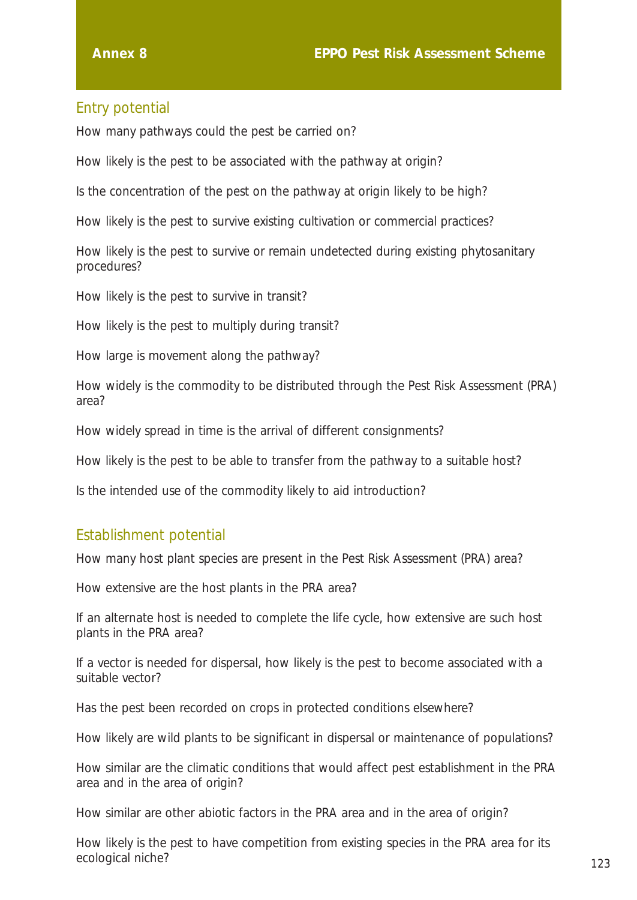# Entry potential

How many pathways could the pest be carried on?

How likely is the pest to be associated with the pathway at origin?

Is the concentration of the pest on the pathway at origin likely to be high?

How likely is the pest to survive existing cultivation or commercial practices?

How likely is the pest to survive or remain undetected during existing phytosanitary procedures?

How likely is the pest to survive in transit?

How likely is the pest to multiply during transit?

How large is movement along the pathway?

How widely is the commodity to be distributed through the Pest Risk Assessment (PRA) area?

How widely spread in time is the arrival of different consignments?

How likely is the pest to be able to transfer from the pathway to a suitable host?

Is the intended use of the commodity likely to aid introduction?

### Establishment potential

How many host plant species are present in the Pest Risk Assessment (PRA) area?

How extensive are the host plants in the PRA area?

If an alternate host is needed to complete the life cycle, how extensive are such host plants in the PRA area?

If a vector is needed for dispersal, how likely is the pest to become associated with a suitable vector?

Has the pest been recorded on crops in protected conditions elsewhere?

How likely are wild plants to be significant in dispersal or maintenance of populations?

How similar are the climatic conditions that would affect pest establishment in the PRA area and in the area of origin?

How similar are other abiotic factors in the PRA area and in the area of origin?

How likely is the pest to have competition from existing species in the PRA area for its ecological niche? 123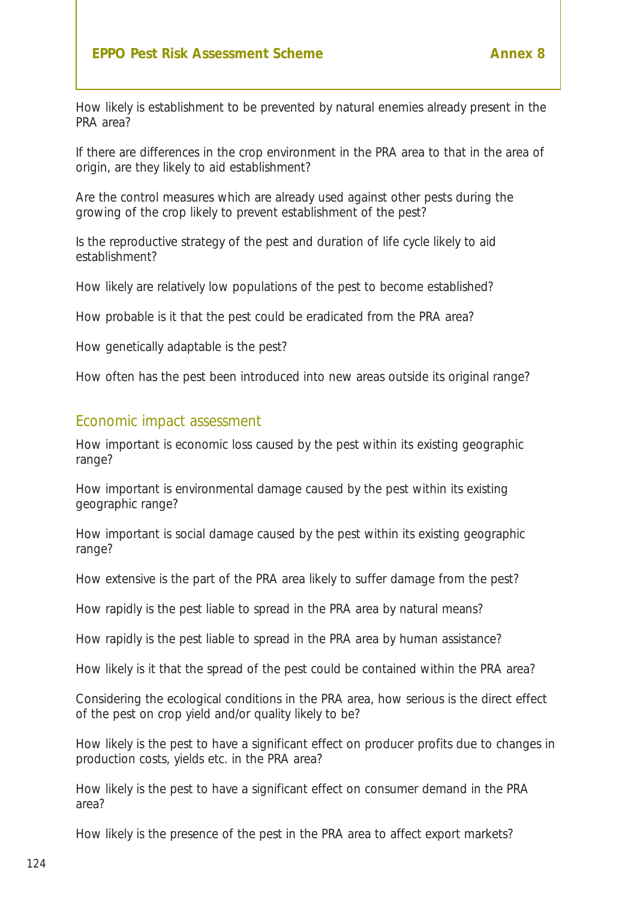#### **EPPO Pest Risk Assessment Scheme Annex 8**

How likely is establishment to be prevented by natural enemies already present in the PRA area?

If there are differences in the crop environment in the PRA area to that in the area of origin, are they likely to aid establishment?

Are the control measures which are already used against other pests during the growing of the crop likely to prevent establishment of the pest?

Is the reproductive strategy of the pest and duration of life cycle likely to aid establishment?

How likely are relatively low populations of the pest to become established?

How probable is it that the pest could be eradicated from the PRA area?

How genetically adaptable is the pest?

How often has the pest been introduced into new areas outside its original range?

#### Economic impact assessment

How important is economic loss caused by the pest within its existing geographic range?

How important is environmental damage caused by the pest within its existing geographic range?

How important is social damage caused by the pest within its existing geographic range?

How extensive is the part of the PRA area likely to suffer damage from the pest?

How rapidly is the pest liable to spread in the PRA area by natural means?

How rapidly is the pest liable to spread in the PRA area by human assistance?

How likely is it that the spread of the pest could be contained within the PRA area?

Considering the ecological conditions in the PRA area, how serious is the direct effect of the pest on crop yield and/or quality likely to be?

How likely is the pest to have a significant effect on producer profits due to changes in production costs, yields etc. in the PRA area?

How likely is the pest to have a significant effect on consumer demand in the PRA area?

How likely is the presence of the pest in the PRA area to affect export markets?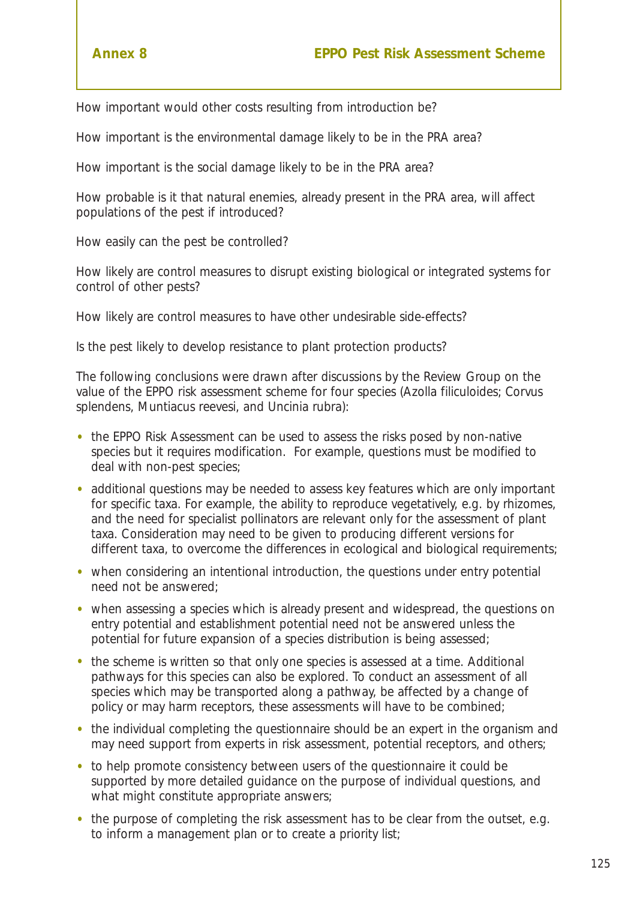How important would other costs resulting from introduction be?

How important is the environmental damage likely to be in the PRA area?

How important is the social damage likely to be in the PRA area?

How probable is it that natural enemies, already present in the PRA area, will affect populations of the pest if introduced?

How easily can the pest be controlled?

How likely are control measures to disrupt existing biological or integrated systems for control of other pests?

How likely are control measures to have other undesirable side-effects?

Is the pest likely to develop resistance to plant protection products?

The following conclusions were drawn after discussions by the Review Group on the value of the EPPO risk assessment scheme for four species *(Azolla filiculoides; Corvus splendens, Muntiacus reevesi, and Uncinia rubra):*

- the EPPO Risk Assessment can be used to assess the risks posed by non-native species but it requires modification. For example, questions must be modified to deal with non-pest species;
- additional questions may be needed to assess key features which are only important for specific taxa. For example, the ability to reproduce vegetatively, *e.g.* by rhizomes, and the need for specialist pollinators are relevant only for the assessment of plant taxa. Consideration may need to be given to producing different versions for different taxa, to overcome the differences in ecological and biological requirements;
- when considering an intentional introduction, the questions under entry potential need not be answered;
- when assessing a species which is already present and widespread, the questions on entry potential and establishment potential need not be answered unless the potential for future expansion of a species distribution is being assessed;
- the scheme is written so that only one species is assessed at a time. Additional pathways for this species can also be explored. To conduct an assessment of all species which may be transported along a pathway, be affected by a change of policy or may harm receptors, these assessments will have to be combined;
- the individual completing the questionnaire should be an expert in the organism and may need support from experts in risk assessment, potential receptors, and others;
- to help promote consistency between users of the questionnaire it could be supported by more detailed guidance on the purpose of individual questions, and what might constitute appropriate answers;
- the purpose of completing the risk assessment has to be clear from the outset, *e.g.* to inform a management plan or to create a priority list;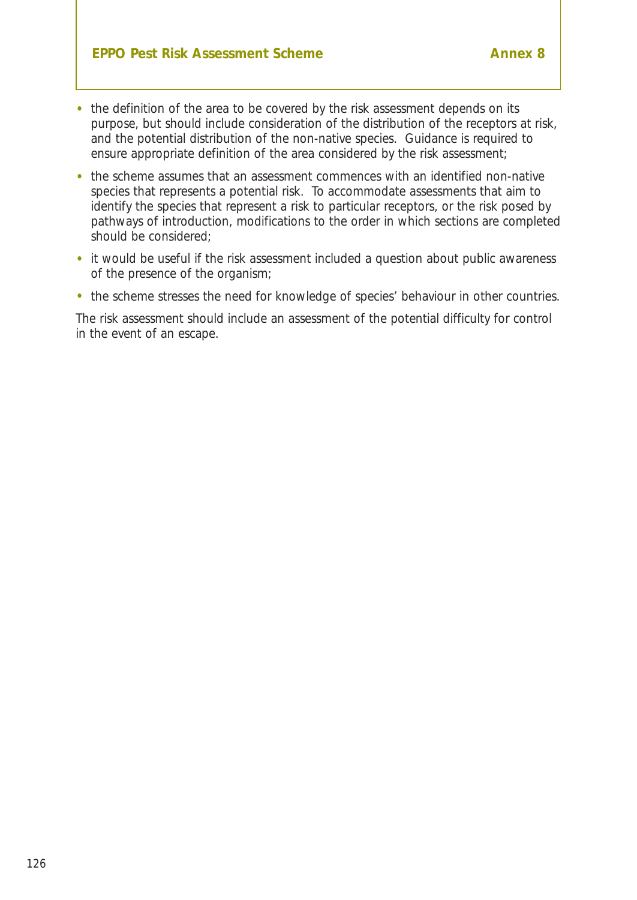- the definition of the area to be covered by the risk assessment depends on its purpose, but should include consideration of the distribution of the receptors at risk, and the potential distribution of the non-native species. Guidance is required to ensure appropriate definition of the area considered by the risk assessment;
- the scheme assumes that an assessment commences with an identified non-native species that represents a potential risk. To accommodate assessments that aim to identify the species that represent a risk to particular receptors, or the risk posed by pathways of introduction, modifications to the order in which sections are completed should be considered;
- it would be useful if the risk assessment included a question about public awareness of the presence of the organism;
- the scheme stresses the need for knowledge of species' behaviour in other countries.

The risk assessment should include an assessment of the potential difficulty for control in the event of an escape.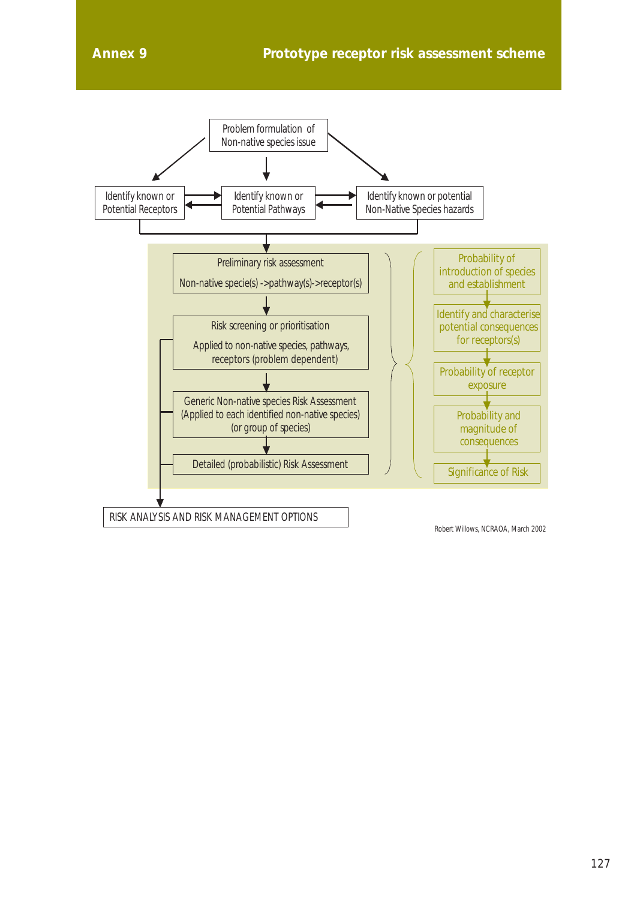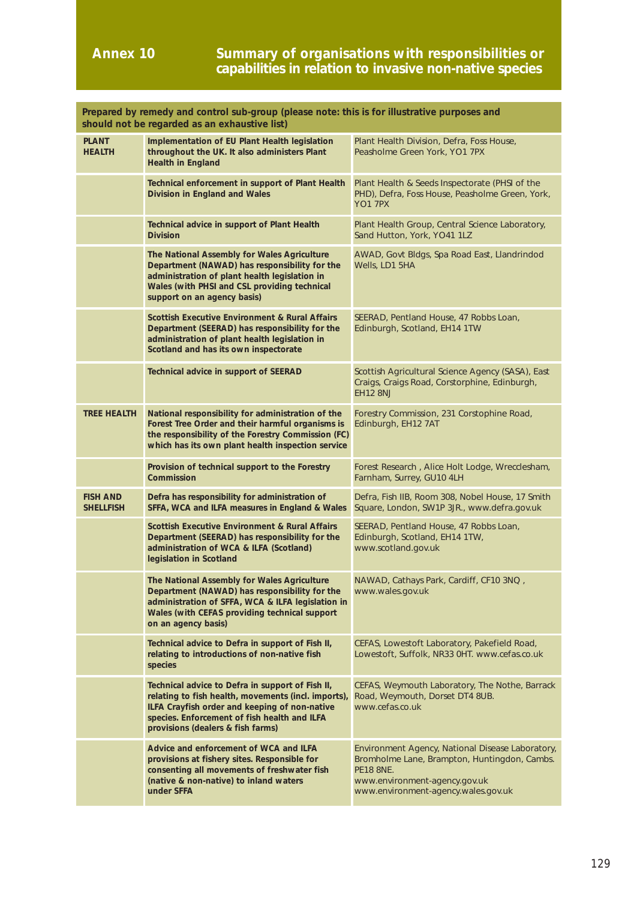#### **Annex 10 Summary of organisations with responsibilities or capabilities in relation to invasive non-native species**

| Prepared by remedy and control sub-group (please note: this is for illustrative purposes and<br>should not be regarded as an exhaustive list) |                                                                                                                                                                                                                                               |                                                                                                                                                                                              |  |  |  |  |
|-----------------------------------------------------------------------------------------------------------------------------------------------|-----------------------------------------------------------------------------------------------------------------------------------------------------------------------------------------------------------------------------------------------|----------------------------------------------------------------------------------------------------------------------------------------------------------------------------------------------|--|--|--|--|
| <b>PLANT</b><br><b>HEALTH</b>                                                                                                                 | Implementation of EU Plant Health legislation<br>throughout the UK. It also administers Plant<br><b>Health in England</b>                                                                                                                     | Plant Health Division, Defra, Foss House,<br>Peasholme Green York, YO1 7PX                                                                                                                   |  |  |  |  |
|                                                                                                                                               | Technical enforcement in support of Plant Health<br>Division in England and Wales                                                                                                                                                             | Plant Health & Seeds Inspectorate (PHSI of the<br>PHD), Defra, Foss House, Peasholme Green, York,<br><b>YO1 7PX</b>                                                                          |  |  |  |  |
|                                                                                                                                               | Technical advice in support of Plant Health<br><b>Division</b>                                                                                                                                                                                | Plant Health Group, Central Science Laboratory,<br>Sand Hutton, York, YO41 1LZ                                                                                                               |  |  |  |  |
|                                                                                                                                               | The National Assembly for Wales Agriculture<br>Department (NAWAD) has responsibility for the<br>administration of plant health legislation in<br>Wales (with PHSI and CSL providing technical<br>support on an agency basis)                  | AWAD, Govt Bldgs, Spa Road East, Llandrindod<br>Wells, LD1 5HA                                                                                                                               |  |  |  |  |
|                                                                                                                                               | <b>Scottish Executive Environment &amp; Rural Affairs</b><br>Department (SEERAD) has responsibility for the<br>administration of plant health legislation in<br>Scotland and has its own inspectorate                                         | SEERAD, Pentland House, 47 Robbs Loan,<br>Edinburgh, Scotland, EH14 1TW                                                                                                                      |  |  |  |  |
|                                                                                                                                               | Technical advice in support of SEERAD                                                                                                                                                                                                         | Scottish Agricultural Science Agency (SASA), East<br>Craigs, Craigs Road, Corstorphine, Edinburgh,<br><b>EH12 8NJ</b>                                                                        |  |  |  |  |
| <b>TREE HEALTH</b>                                                                                                                            | National responsibility for administration of the<br>Forest Tree Order and their harmful organisms is<br>the responsibility of the Forestry Commission (FC)<br>which has its own plant health inspection service                              | Forestry Commission, 231 Corstophine Road,<br>Edinburgh, EH12 7AT                                                                                                                            |  |  |  |  |
|                                                                                                                                               | Provision of technical support to the Forestry<br>Commission                                                                                                                                                                                  | Forest Research, Alice Holt Lodge, Wrecclesham,<br>Farnham, Surrey, GU10 4LH                                                                                                                 |  |  |  |  |
| <b>FISH AND</b><br><b>SHELLFISH</b>                                                                                                           | Defra has responsibility for administration of<br>SFFA, WCA and ILFA measures in England & Wales                                                                                                                                              | Defra, Fish IIB, Room 308, Nobel House, 17 Smith<br>Square, London, SW1P 3JR., www.defra.gov.uk                                                                                              |  |  |  |  |
|                                                                                                                                               | <b>Scottish Executive Environment &amp; Rural Affairs</b><br>Department (SEERAD) has responsibility for the<br>administration of WCA & ILFA (Scotland)<br>legislation in Scotland                                                             | SEERAD, Pentland House, 47 Robbs Loan,<br>Edinburgh, Scotland, EH14 1TW,<br>www.scotland.gov.uk                                                                                              |  |  |  |  |
|                                                                                                                                               | The National Assembly for Wales Agriculture<br>Department (NAWAD) has responsibility for the<br>administration of SFFA, WCA & ILFA legislation in<br>Wales (with CEFAS providing technical support<br>on an agency basis)                     | NAWAD, Cathays Park, Cardiff, CF10 3NQ,<br>www.wales.gov.uk                                                                                                                                  |  |  |  |  |
|                                                                                                                                               | Technical advice to Defra in support of Fish II,<br>relating to introductions of non-native fish<br>species                                                                                                                                   | CEFAS, Lowestoft Laboratory, Pakefield Road,<br>Lowestoft, Suffolk, NR33 OHT. www.cefas.co.uk                                                                                                |  |  |  |  |
|                                                                                                                                               | Technical advice to Defra in support of Fish II,<br>relating to fish health, movements (incl. imports),<br>ILFA Crayfish order and keeping of non-native<br>species. Enforcement of fish health and ILFA<br>provisions (dealers & fish farms) | CEFAS, Weymouth Laboratory, The Nothe, Barrack<br>Road, Weymouth, Dorset DT4 8UB.<br>www.cefas.co.uk                                                                                         |  |  |  |  |
|                                                                                                                                               | Advice and enforcement of WCA and ILFA<br>provisions at fishery sites. Responsible for<br>consenting all movements of freshwater fish<br>(native & non-native) to inland waters<br>under SFFA                                                 | Environment Agency, National Disease Laboratory,<br>Bromholme Lane, Brampton, Huntingdon, Cambs.<br><b>PE18 8NE.</b><br>www.environment-agency.gov.uk<br>www.environment-agency.wales.gov.uk |  |  |  |  |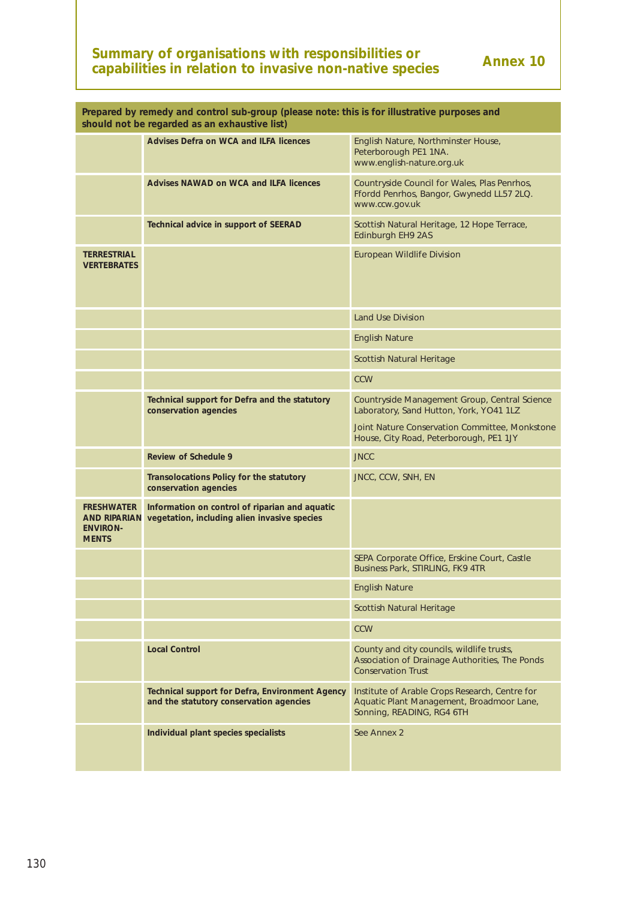# **Summary of organisations with responsibilities or** Annex 10 **capabilities in relation to invasive non-native species**

| Prepared by remedy and control sub-group (please note: this is for illustrative purposes and<br>should not be regarded as an exhaustive list) |                                                                                                |                                                                                                                           |  |  |  |  |  |
|-----------------------------------------------------------------------------------------------------------------------------------------------|------------------------------------------------------------------------------------------------|---------------------------------------------------------------------------------------------------------------------------|--|--|--|--|--|
|                                                                                                                                               | <b>Advises Defra on WCA and ILFA licences</b>                                                  | English Nature, Northminster House,<br>Peterborough PE1 1NA.<br>www.english-nature.org.uk                                 |  |  |  |  |  |
|                                                                                                                                               | <b>Advises NAWAD on WCA and ILFA licences</b>                                                  | Countryside Council for Wales, Plas Penrhos,<br>Ffordd Penrhos, Bangor, Gwynedd LL57 2LQ.<br>www.ccw.gov.uk               |  |  |  |  |  |
|                                                                                                                                               | Technical advice in support of SEERAD                                                          | Scottish Natural Heritage, 12 Hope Terrace,<br>Edinburgh EH9 2AS                                                          |  |  |  |  |  |
| <b>TERRESTRIAL</b><br><b>VERTEBRATES</b>                                                                                                      |                                                                                                | <b>European Wildlife Division</b>                                                                                         |  |  |  |  |  |
|                                                                                                                                               |                                                                                                | <b>Land Use Division</b>                                                                                                  |  |  |  |  |  |
|                                                                                                                                               |                                                                                                | <b>English Nature</b>                                                                                                     |  |  |  |  |  |
|                                                                                                                                               |                                                                                                | <b>Scottish Natural Heritage</b>                                                                                          |  |  |  |  |  |
|                                                                                                                                               |                                                                                                | <b>CCW</b>                                                                                                                |  |  |  |  |  |
|                                                                                                                                               | Technical support for Defra and the statutory<br>conservation agencies                         | Countryside Management Group, Central Science<br>Laboratory, Sand Hutton, York, YO41 1LZ                                  |  |  |  |  |  |
|                                                                                                                                               |                                                                                                | Joint Nature Conservation Committee, Monkstone<br>House, City Road, Peterborough, PE1 1JY                                 |  |  |  |  |  |
|                                                                                                                                               | <b>Review of Schedule 9</b>                                                                    | <b>JNCC</b>                                                                                                               |  |  |  |  |  |
|                                                                                                                                               | Transolocations Policy for the statutory<br>conservation agencies                              | JNCC, CCW, SNH, EN                                                                                                        |  |  |  |  |  |
| <b>FRESHWATER</b><br><b>AND RIPARIAN</b><br><b>ENVIRON-</b><br><b>MENTS</b>                                                                   | Information on control of riparian and aquatic<br>vegetation, including alien invasive species |                                                                                                                           |  |  |  |  |  |
|                                                                                                                                               |                                                                                                | SEPA Corporate Office, Erskine Court, Castle<br>Business Park, STIRLING, FK9 4TR                                          |  |  |  |  |  |
|                                                                                                                                               |                                                                                                | <b>English Nature</b>                                                                                                     |  |  |  |  |  |
|                                                                                                                                               |                                                                                                | <b>Scottish Natural Heritage</b>                                                                                          |  |  |  |  |  |
|                                                                                                                                               |                                                                                                | <b>CCW</b>                                                                                                                |  |  |  |  |  |
|                                                                                                                                               | <b>Local Control</b>                                                                           | County and city councils, wildlife trusts,<br>Association of Drainage Authorities, The Ponds<br><b>Conservation Trust</b> |  |  |  |  |  |
|                                                                                                                                               | Technical support for Defra, Environment Agency<br>and the statutory conservation agencies     | Institute of Arable Crops Research, Centre for<br>Aquatic Plant Management, Broadmoor Lane,<br>Sonning, READING, RG4 6TH  |  |  |  |  |  |
|                                                                                                                                               | Individual plant species specialists                                                           | See Annex 2                                                                                                               |  |  |  |  |  |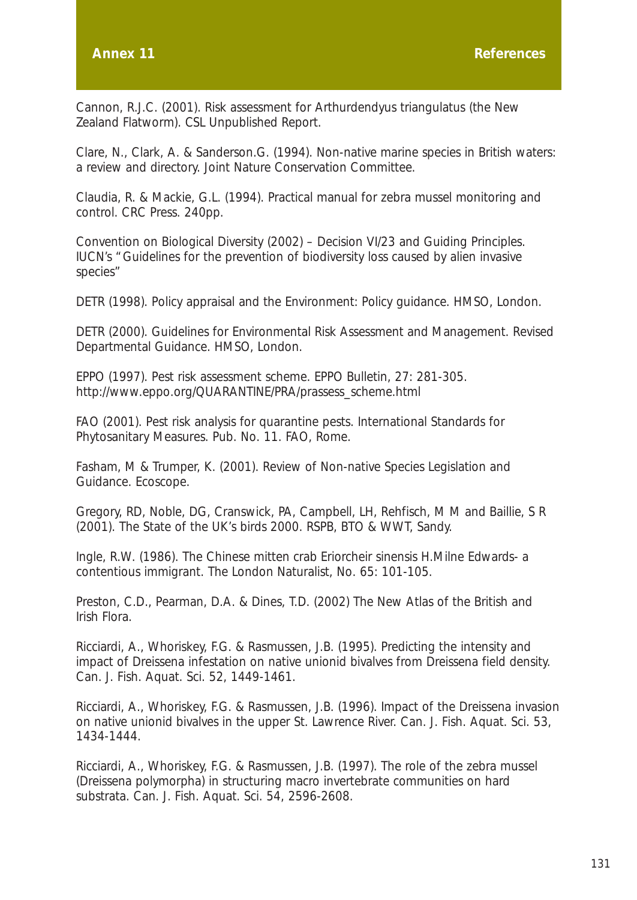Cannon, R.J.C. (2001). Risk assessment for *Arthurdendyus triangulatus* (the New Zealand Flatworm). *CSL Unpublished Report.*

Clare, N., Clark, A. & Sanderson.G. (1994). Non-native marine species in British waters: a review and directory. Joint Nature Conservation Committee.

Claudia, R. & Mackie, G.L. (1994). Practical manual for zebra mussel monitoring and control. CRC Press. 240pp.

Convention on Biological Diversity (2002) – Decision VI/23 and Guiding Principles. IUCN's "Guidelines for the prevention of biodiversity loss caused by alien invasive species"

DETR (1998). *Policy appraisal and the Environment: Policy guidance*. HMSO, London.

DETR (2000). *Guidelines for Environmental Risk Assessment and Management. Revised Departmental Guidance*. HMSO, London.

EPPO (1997). Pest risk assessment scheme. *EPPO Bulletin,* 27: 281-305. http://www.eppo.org/QUARANTINE/PRA/prassess\_scheme.html

FAO (2001). Pest risk analysis for quarantine pests. *International Standards for Phytosanitary Measures. Pub. No. 11.* FAO, Rome.

Fasham, M & Trumper, K. (2001). Review of Non-native Species Legislation and Guidance. Ecoscope.

Gregory, RD, Noble, DG, Cranswick, PA, Campbell, LH, Rehfisch, M M and Baillie, S R (2001). *The State of the UK's birds 2000.* RSPB, BTO & WWT, Sandy.

Ingle, R.W. (1986). The Chinese mitten crab Eriorcheir sinensis H.Milne Edwards- a contentious immigrant. The London Naturalist, No. 65: 101-105.

Preston, C.D., Pearman, D.A. & Dines, T.D. (2002) The New Atlas of the British and Irish Flora.

Ricciardi, A., Whoriskey, F.G. & Rasmussen, J.B. (1995). Predicting the intensity and impact of *Dreissena* infestation on native unionid bivalves from Dreissena field density. Can. J. Fish. Aquat. Sci. 52, 1449-1461.

Ricciardi, A., Whoriskey, F.G. & Rasmussen, J.B. (1996). Impact of the *Dreissena* invasion on native unionid bivalves in the upper St. Lawrence River. Can. J. Fish. Aquat. Sci. 53, 1434-1444.

Ricciardi, A., Whoriskey, F.G. & Rasmussen, J.B. (1997). The role of the zebra mussel *(Dreissena polymorpha)* in structuring macro invertebrate communities on hard substrata. Can. J. Fish. Aquat. Sci. 54, 2596-2608.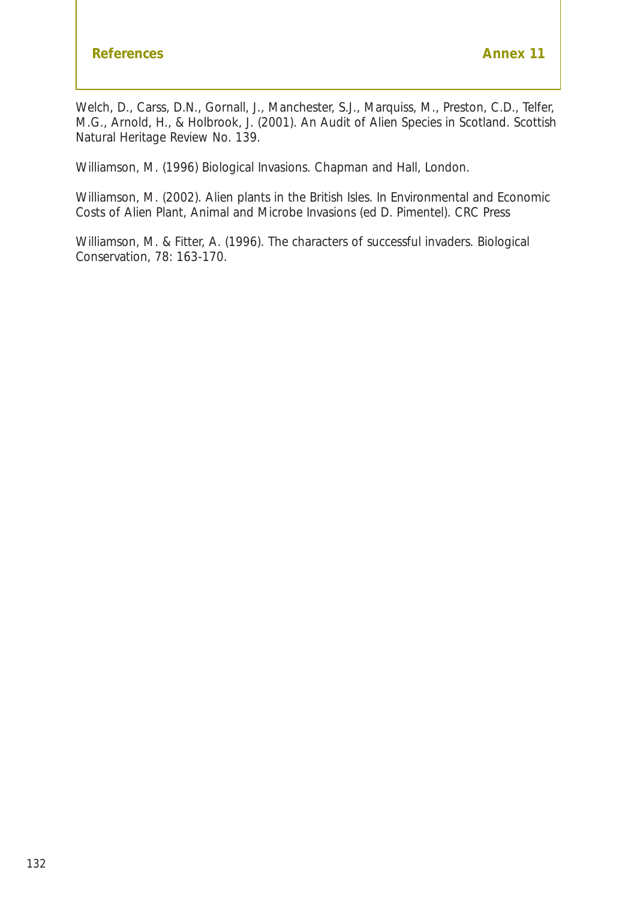Welch, D., Carss, D.N., Gornall, J., Manchester, S.J., Marquiss, M., Preston, C.D., Telfer, M.G., Arnold, H., & Holbrook, J. (2001). An Audit of Alien Species in Scotland. *Scottish Natural Heritage Review* No. 139.

Williamson, M. (1996) *Biological Invasions*. Chapman and Hall, London.

Williamson, M. (2002). Alien plants in the British Isles. In Environmental and *Economic Costs of Alien Plant, Animal and Microbe Invasions* (ed D. Pimentel). CRC Press

Williamson, M. & Fitter, A. (1996). The characters of successful invaders. *Biological Conservation,* 78: 163-170.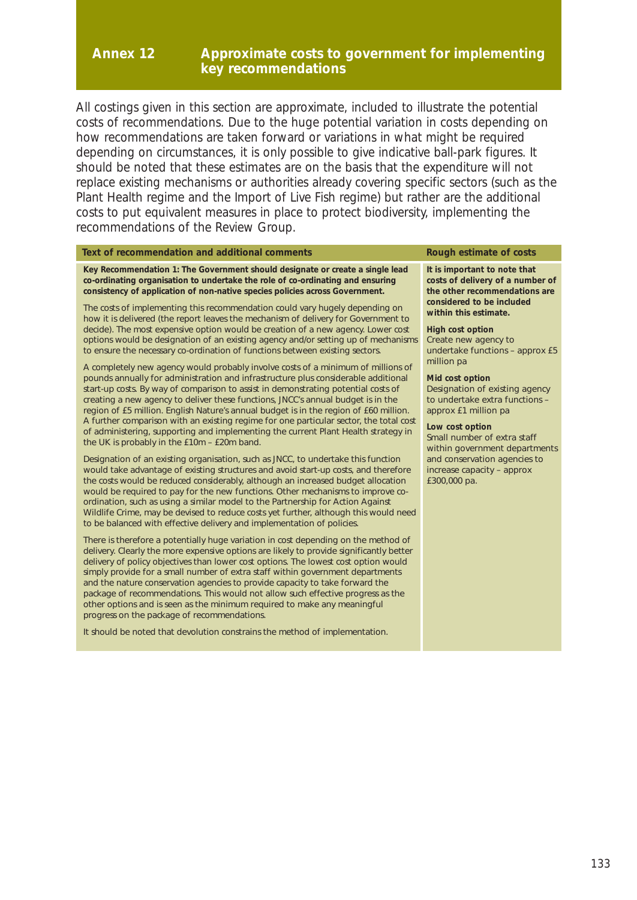#### **Annex 12 Approximate costs to government for implementing key recommendations**

All costings given in this section are approximate, included to illustrate the potential costs of recommendations. Due to the huge potential variation in costs depending on how recommendations are taken forward or variations in what might be required depending on circumstances, it is only possible to give indicative ball-park figures. It should be noted that these estimates are on the basis that the expenditure will not replace existing mechanisms or authorities already covering specific sectors (such as the Plant Health regime and the Import of Live Fish regime) but rather are the additional costs to put equivalent measures in place to protect biodiversity, implementing the recommendations of the Review Group.

#### **Text of recommendation and additional comments Rough estimate of costs**

**Key Recommendation 1: The Government should designate or create a single lead co-ordinating organisation to undertake the role of co-ordinating and ensuring consistency of application of non-native species policies across Government.**

The costs of implementing this recommendation could vary hugely depending on how it is delivered (the report leaves the mechanism of delivery for Government to decide). The most expensive option would be creation of a new agency. Lower cost options would be designation of an existing agency and/or setting up of mechanisms to ensure the necessary co-ordination of functions between existing sectors.

A completely new agency would probably involve costs of a minimum of millions of pounds annually for administration and infrastructure plus considerable additional start-up costs. By way of comparison to assist in demonstrating potential costs of creating a new agency to deliver these functions, JNCC's annual budget is in the region of £5 million. English Nature's annual budget is in the region of £60 million. A further comparison with an existing regime for one particular sector, the total cost of administering, supporting and implementing the current Plant Health strategy in the UK is probably in the £10m – £20m band.

Designation of an existing organisation, such as JNCC, to undertake this function would take advantage of existing structures and avoid start-up costs, and therefore the costs would be reduced considerably, although an increased budget allocation would be required to pay for the new functions. Other mechanisms to improve coordination, such as using a similar model to the Partnership for Action Against Wildlife Crime, may be devised to reduce costs yet further, although this would need to be balanced with effective delivery and implementation of policies.

There is therefore a potentially huge variation in cost depending on the method of delivery. Clearly the more expensive options are likely to provide significantly better delivery of policy objectives than lower cost options. The lowest cost option would simply provide for a small number of extra staff within government departments and the nature conservation agencies to provide capacity to take forward the package of recommendations. This would not allow such effective progress as the other options and is seen as the minimum required to make any meaningful progress on the package of recommendations.

It should be noted that devolution constrains the method of implementation.

**It is important to note that costs of delivery of a number of the other recommendations are considered to be included within this estimate.**

**High cost option** Create new agency to undertake functions – approx £5 million pa

#### **Mid cost option**

Designation of existing agency to undertake extra functions – approx £1 million pa

#### **Low cost option**

Small number of extra staff within government departments and conservation agencies to increase capacity – approx £300,000 pa.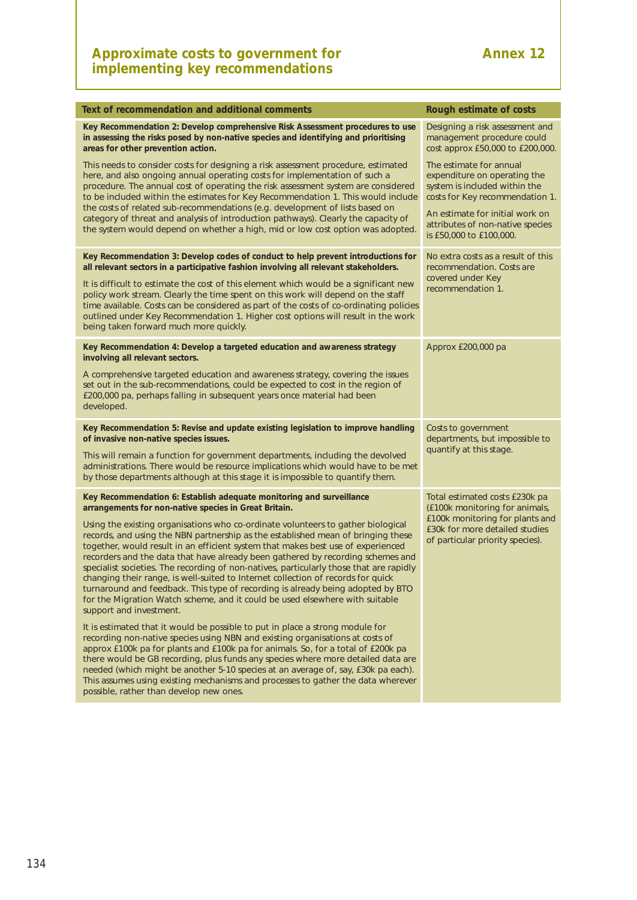| Text of recommendation and additional comments                                                                                                                                                                                                                                                                                                                                                                                                                                                                                                                                                                                                                                                                           | Rough estimate of costs                                                                                                                                        |
|--------------------------------------------------------------------------------------------------------------------------------------------------------------------------------------------------------------------------------------------------------------------------------------------------------------------------------------------------------------------------------------------------------------------------------------------------------------------------------------------------------------------------------------------------------------------------------------------------------------------------------------------------------------------------------------------------------------------------|----------------------------------------------------------------------------------------------------------------------------------------------------------------|
| Key Recommendation 2: Develop comprehensive Risk Assessment procedures to use<br>in assessing the risks posed by non-native species and identifying and prioritising<br>areas for other prevention action.                                                                                                                                                                                                                                                                                                                                                                                                                                                                                                               | Designing a risk assessment and<br>management procedure could<br>cost approx £50,000 to £200,000.                                                              |
| This needs to consider costs for designing a risk assessment procedure, estimated<br>here, and also ongoing annual operating costs for implementation of such a<br>procedure. The annual cost of operating the risk assessment system are considered<br>to be included within the estimates for Key Recommendation 1. This would include<br>the costs of related sub-recommendations (e.g. development of lists based on                                                                                                                                                                                                                                                                                                 | The estimate for annual<br>expenditure on operating the<br>system is included within the<br>costs for Key recommendation 1.<br>An estimate for initial work on |
| category of threat and analysis of introduction pathways). Clearly the capacity of<br>the system would depend on whether a high, mid or low cost option was adopted.                                                                                                                                                                                                                                                                                                                                                                                                                                                                                                                                                     | attributes of non-native species<br>is £50,000 to £100,000.                                                                                                    |
| Key Recommendation 3: Develop codes of conduct to help prevent introductions for<br>all relevant sectors in a participative fashion involving all relevant stakeholders.                                                                                                                                                                                                                                                                                                                                                                                                                                                                                                                                                 | No extra costs as a result of this<br>recommendation. Costs are                                                                                                |
| It is difficult to estimate the cost of this element which would be a significant new<br>policy work stream. Clearly the time spent on this work will depend on the staff<br>time available. Costs can be considered as part of the costs of co-ordinating policies<br>outlined under Key Recommendation 1. Higher cost options will result in the work<br>being taken forward much more quickly.                                                                                                                                                                                                                                                                                                                        | covered under Key<br>recommendation 1.                                                                                                                         |
| Key Recommendation 4: Develop a targeted education and awareness strategy<br>involving all relevant sectors.                                                                                                                                                                                                                                                                                                                                                                                                                                                                                                                                                                                                             | Approx £200,000 pa                                                                                                                                             |
| A comprehensive targeted education and awareness strategy, covering the issues<br>set out in the sub-recommendations, could be expected to cost in the region of<br>£200,000 pa, perhaps falling in subsequent years once material had been<br>developed.                                                                                                                                                                                                                                                                                                                                                                                                                                                                |                                                                                                                                                                |
| Key Recommendation 5: Revise and update existing legislation to improve handling<br>of invasive non-native species issues.                                                                                                                                                                                                                                                                                                                                                                                                                                                                                                                                                                                               | Costs to government<br>departments, but impossible to                                                                                                          |
| This will remain a function for government departments, including the devolved<br>administrations. There would be resource implications which would have to be met<br>by those departments although at this stage it is impossible to quantify them.                                                                                                                                                                                                                                                                                                                                                                                                                                                                     | quantify at this stage.                                                                                                                                        |
| Key Recommendation 6: Establish adequate monitoring and surveillance<br>arrangements for non-native species in Great Britain.                                                                                                                                                                                                                                                                                                                                                                                                                                                                                                                                                                                            | Total estimated costs £230k pa<br>(£100k monitoring for animals,                                                                                               |
| Using the existing organisations who co-ordinate volunteers to gather biological<br>records, and using the NBN partnership as the established mean of bringing these<br>together, would result in an efficient system that makes best use of experienced<br>recorders and the data that have already been gathered by recording schemes and<br>specialist societies. The recording of non-natives, particularly those that are rapidly<br>changing their range, is well-suited to Internet collection of records for quick<br>turnaround and feedback. This type of recording is already being adopted by BTO<br>for the Migration Watch scheme, and it could be used elsewhere with suitable<br>support and investment. | £100k monitoring for plants and<br>£30k for more detailed studies<br>of particular priority species).                                                          |
| It is estimated that it would be possible to put in place a strong module for<br>recording non-native species using NBN and existing organisations at costs of<br>approx £100k pa for plants and £100k pa for animals. So, for a total of £200k pa<br>there would be GB recording, plus funds any species where more detailed data are<br>needed (which might be another 5-10 species at an average of, say, £30k pa each).<br>This assumes using existing mechanisms and processes to gather the data wherever<br>possible, rather than develop new ones.                                                                                                                                                               |                                                                                                                                                                |